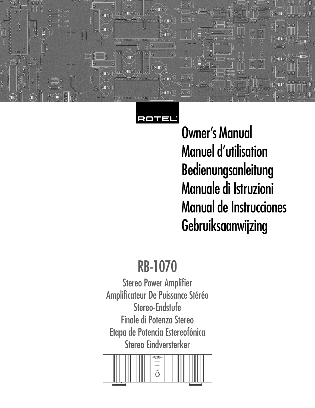



Owner's Manual Manuel d'utilisation Bedienungsanleitung Manuale di Istruzioni Manual de Instrucciones Gebruiksaanwijzing

# RB-1070

Stereo Power Amplifier Amplificateur De Puissance Stéréo Stereo-Endstufe Finale di Potenza Stereo Etapa de Potencia Estereofónica Stereo Eindversterker

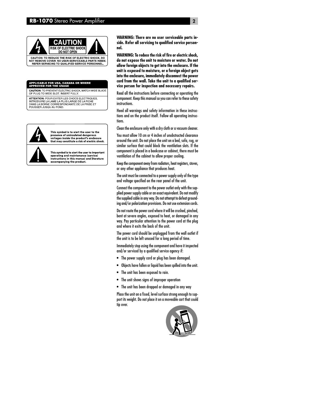

#### APPLICABLE FOR USA, CANADA OR WHERE<br>APPROVED FOR THE USAGE

CAUTION: TO PREVENT ELECTRIC SHOCK, MATCH WIDE BLADE OF PLUG TO WIDE SLOT INSERT FULLY **ATTENTION: POUR EVITER LES CHOCS ELECTRIQUES,** INTRODUIRE LA LAME LA PLUS LARGE DE LA FICHE<br>DANS LA BORNE CORRESPONDANTE DE LA PRISE ET



POUSSER JUSQU AU FOND

This symbol is to alert the user to the<br>presence of uninsulated dangerous<br>voltages inside the product's enclosure<br>that may constitute a risk of electric shock. This symbol is to alert the user to important operating and maintenance (service)<br>instructions in this manual and literature<br>accompanying the product.

**WARNING: There are no user serviceable parts inside. Refer all servicing to qualified service personnel.**

**WARNING: To reduce the risk of fire or electric shock, do not expose the unit to moisture or water. Do not allow foreign objects to get into the enclosure. If the unit is exposed to moisture, or a foreign object gets into the enclosure, immediately disconnect the power cord from the wall. Take the unit to a qualified service person for inspection and necessary repairs.**

Read all the instructions before connecting or operating the component. Keep this manual so you can refer to these safety instructions.

Heed all warnings and safety information in these instructions and on the product itself. Follow all operating instructions.

Clean the enclosure only with a dry cloth or a vacuum cleaner.

You must allow 10 cm or 4 inches of unobstructed clearance around the unit. Do not place the unit on a bed, sofa, rug, or similar surface that could block the ventilation slots. If the component is placed in a bookcase or cabinet, there must be ventilation of the cabinet to allow proper cooling.

Keep the component away from radiators, heat registers, stoves, or any other appliance that produces heat.

The unit must be connected to a power supply only of the type and voltage specified on the rear panel of the unit.

Connect the component to the power outlet only with the supplied power supply cable or an exact equivalent. Do not modify the supplied cable in any way. Do not attempt to defeat grounding and/or polarization provisions. Do not use extension cords.

Do not route the power cord where it will be crushed, pinched, bent at severe angles, exposed to heat, or damaged in any way. Pay particular attention to the power cord at the plug and where it exits the back of the unit.

The power cord should be unplugged from the wall outlet if the unit is to be left unused for a long period of time.

Immediately stop using the component and have it inspected and/or serviced by a qualified service agency if:

- The power supply cord or plug has been damaged.
- Objects have fallen or liquid has been spilled into the unit.
- The unit has been exposed to rain.
- The unit shows signs of improper operation
- The unit has been dropped or damaged in any way

Place the unit on a fixed, level surface strong enough to support its weight. Do not place it on a moveable cart that could tip over.

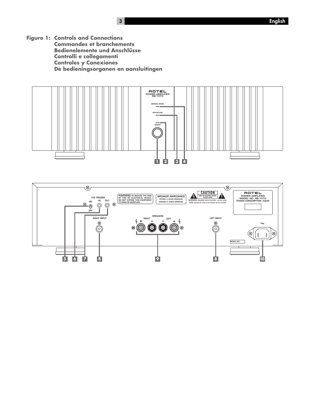**Figure 1: Controls and Connections Commandes et branchements Bedienelemente und Anschlüsse Controlli e collegamenti Controles y Conexiones De bedieningsorganen en aansluitingen**



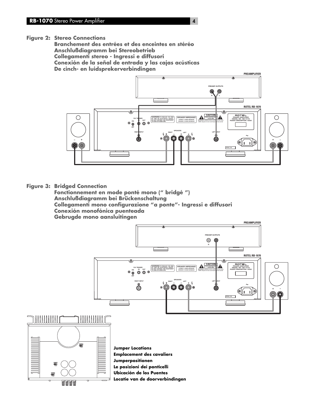**Figure 2: Stereo Connections**

**Branchement des entrées et des enceintes en stéréo Anschlußdiagramm bei Stereobetrieb Collegamenti stereo - Ingressi e diffusori Conexión de la señal de entrada y las cajas acústicas De cinch- en luidsprekerverbindingen**



#### **Figure 3: Bridged Connection**

**Fonctionnement en mode ponté mono ("␣ bridgé␣ ") Anschlußdiagramm bei Brückenschaltung Collegamenti mono configurazione "a ponte"- Ingressi e diffusori Conexión monofónica puenteada Gebrugde mono aansluitingen**

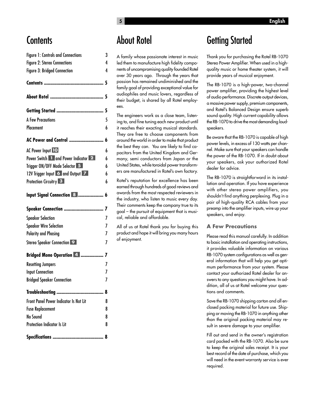| <b>Figure 1: Controls and Connections</b>     | 3 |
|-----------------------------------------------|---|
| <b>Figure 2: Stereo Connections</b>           | 4 |
| <b>Figure 3: Bridged Connection</b>           | 4 |
|                                               |   |
|                                               |   |
|                                               |   |
| <b>A Few Precautions</b>                      | 5 |
| Placement                                     | 6 |
| AC Power and Control  6                       |   |
| AC Power Input 10                             | 6 |
| Power Switch 1 and Power Indicator 2          | 6 |
| Trigger ON/OFF Mode Selector 5                | 6 |
| 12V Trigger Input 6 and Output 7              | 6 |
| <b>Protection Circuitry 3</b>                 | 6 |
| Input Signal Connection 8  6                  |   |
|                                               |   |
| <b>Speaker Selection</b>                      | 7 |
| <b>Speaker Wire Selection</b>                 | 7 |
| <b>Polarity and Phasing</b>                   | 7 |
| <b>Stereo Speaker Connection 9</b>            | 7 |
| Bridged Mono Operation 4  7                   |   |
| <b>Resetting Jumpers</b>                      | 7 |
| <b>Input Connection</b>                       | 7 |
| <b>Bridged Speaker Connection</b>             | 7 |
|                                               |   |
| <b>Front Panel Power Indicator Is Not Lit</b> | 8 |
| <b>Fuse Replacement</b>                       | 8 |
| No Sound                                      | 8 |
| <b>Protection Indicator Is Lit</b>            | 8 |
|                                               | 8 |

A family whose passionate interest in music led them to manufacture high fidelity components of uncompromising quality founded Rotel over 30 years ago. Through the years that passion has remained undiminished and the family goal of providing exceptional value for audiophiles and music lovers, regardless of their budget, is shared by all Rotel employees.

The engineers work as a close team, listening to, and fine tuning each new product until it reaches their exacting musical standards. They are free to choose components from around the world in order to make that product the best they can. You are likely to find capacitors from the United Kingdom and Germany, semi conductors from Japan or the United States, while toroidal power transformers are manufactured in Rotel's own factory.

Rotel's reputation for excellence has been earned through hundreds of good reviews and awards from the most respected reviewers in the industry, who listen to music every day. Their comments keep the company true to its goal – the pursuit of equipment that is musical, reliable and affordable.

All of us at Rotel thank you for buying this product and hope it will bring you many hours of enjoyment.

# Getting Started

Thank you for purchasing the Rotel RB-1070 Stereo Power Amplifier. When used in a highquality music or home theater system, it will provide years of musical enjoyment.

The RB-1070 is a high-power, two-channel power amplifier, providing the highest level of audio performance. Discrete output devices, a massive power supply, premium components, and Rotel's Balanced Design ensure superb sound quality. High current capability allows the RB-1070 to drive the most demanding loudspeakers.

Be aware that the RB-1070 is capable of high power levels, in excess of 130 watts per channel. Make sure that your speakers can handle the power of the RB-1070. If in doubt about your speakers, ask your authorized Rotel dealer for advice.

The RB-1070 is straightforward in its installation and operation. If you have experience with other stereo power amplifiers, you shouldn't find anything perplexing. Plug in a pair of high-quality RCA cables from your preamp into the amplifier inputs, wire up your speakers, and enjoy.

#### **A Few Precautions**

Please read this manual carefully. In addition to basic installation and operating instructions, it provides valuable information on various RB-1070 system configurations as well as general information that will help you get optimum performance from your system. Please contact your authorized Rotel dealer for answers to any questions you might have. In addition, all of us at Rotel welcome your questions and comments.

Save the RB-1070 shipping carton and all enclosed packing material for future use. Shipping or moving the RB-1070 in anything other than the original packing material may result in severe damage to your amplifier.

Fill out and send in the owner's registration card packed with the RB-1070. Also be sure to keep the original sales receipt. It is your best record of the date of purchase, which you will need in the event warranty service is ever required.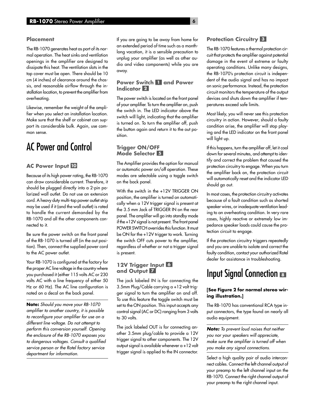#### **Placement**

The RB-1070 generates heat as part of its normal operation. The heat sinks and ventilation openings in the amplifier are designed to dissipate this heat. The ventilation slots in the top cover must be open. There should be 10 cm (4 inches) of clearance around the chassis, and reasonable airflow through the installation location, to prevent the amplifier from overheating.

Likewise, remember the weight of the amplifier when you select an installation location. Make sure that the shelf or cabinet can support its considerable bulk. Again, use common sense.

# AC Power and Control

#### **AC Power Input**

Because of its high power rating, the RB-1070 can draw considerable current. Therefore, it should be plugged directly into a 2-pin polarized wall outlet. Do not use an extension cord. A heavy duty multi-tap power outlet strip may be used if it (and the wall outlet) is rated to handle the current demanded by the RB-1070 and all the other components connected to it.

Be sure the power switch on the front panel of the RB-1070 is turned off (in the out position). Then, connect the supplied power cord to the AC power outlet.

Your RB-1070 is configured at the factory for the proper AC line voltage in the country where you purchased it (either 115 volts AC or 230 volts AC with a line frequency of either 50 Hz or 60 Hz). The AC line configuration is noted on a decal on the back panel.

**Note:** Should you move your RB-1070 amplifier to another country, it is possible to reconfigure your amplifier for use on a different line voltage. Do not attempt to perform this conversion yourself. Opening the enclosure of the RB-1070 exposes you to dangerous voltages. Consult a qualified service person or the Rotel factory service department for information.

If you are going to be away from home for an extended period of time such as a monthlong vacation, it is a sensible precaution to unplug your amplifier (as well as other audio and video components) while you are away.

#### **Power Switch <b>L** and Power **Indicator**

The power switch is located on the front panel of your amplifier. To turn the amplifier on, push the switch in. The LED indicator above the switch will light, indicating that the amplifier is turned on. To turn the amplifier off, push the button again and return it to the out position.

#### **Trigger ON/OFF Mode Selector**

The Amplifier provides the option for manual or automatic power on/off operation. These modes are selectable using a toggle switch on the back panel.

With the switch in the +12V TRIGGER ON position, the amplifier is turned on automatically when a 12V trigger signal is present at the 3.5 mm Jack of TRIGGER IN on the rear panel. The amplifier will go into standby mode if the +12V signal is not present. The front panel POWER SWITCH overrides this function. It must be ON for the +12V trigger to work. Turning the switch OFF cuts power to the amplifier, regardless of whether or not a trigger signal is present.

#### **12V Trigger Input and Output**

The jack labeled IN is for connecting the 3.5mm Plug/Cable carrying a +12 volt trigger signal to turn the amplifier on and off. To use this feature the toggle switch must be set to the ON position. This input accepts any control signal (AC or DC) ranging from 3 volts to 30 volts.

The jack labeled OUT is for connecting another 3.5mm plug/cable to provide a 12V trigger signal to other components. The 12V output signal is available whenever a +12 volt trigger signal is applied to the IN connector.

#### **Protection Circuitry**

The RB-1070 features a thermal protection circuit that protects the amplifier against potential damage in the event of extreme or faulty operating conditions. Unlike many designs, the RB-1070's protection circuit is independent of the audio signal and has no impact on sonic performance. Instead, the protection circuit monitors the temperature of the output devices and shuts down the amplifier if temperatures exceed safe limits.

Most likely, you will never see this protection circuitry in action. However, should a faulty condition arise, the amplifier will stop playing and the LED indicator on the front panel will light up.

If this happens, turn the amplifier off, let it cool down for several minutes, and attempt to identify and correct the problem that caused the protection circuitry to engage. When you turn the amplifier back on, the protection circuit will automatically reset and the indicator LED should go out.

In most cases, the protection circuitry activates because of a fault condition such as shorted speaker wires, or inadequate ventilation leading to an overheating condition. In very rare cases, highly reactive or extremely low impedance speaker loads could cause the protection circuit to engage.

If the protection circuitry triggers repeatedly and you are unable to isolate and correct the faulty condition, contact your authorized Rotel dealer for assistance in troubleshooting.

# **Input Signal Connection**

#### **[See Figure 2 for normal stereo wiring illustration.]**

The RB-1070 has conventional RCA type input connectors, the type found on nearly all audio equipment.

**Note:** To prevent loud noises that neither you nor your speakers will appreciate, make sure the amplifier is turned off when you make any signal connections.

Select a high quality pair of audio interconnect cables. Connect the left channel output of your preamp to the left channel input on the RB-1070. Connect the right channel output of your preamp to the right channel input.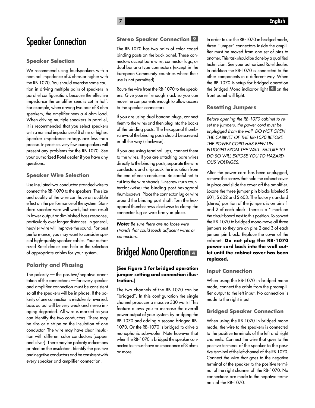# Speaker Connection

#### **Speaker Selection**

We recommend using loudspeakers with a nominal impedance of 4 ohms or higher with the RB-1070. You should exercise some caution in driving multiple pairs of speakers in parallel configuration, because the effective impedance the amplifier sees is cut in half. For example, when driving two pair of 8 ohm speakers, the amplifier sees a 4 ohm load. When driving multiple speakers in parallel, it is recommended that you select speakers with a nominal impedance of 8 ohms or higher. Speaker impedance ratings are less than precise. In practice, very few loudspeakers will present any problems for the RB-1070. See your authorized Rotel dealer if you have any questions.

#### **Speaker Wire Selection**

Use insulated two-conductor stranded wire to connect the RB-1070 to the speakers. The size and quality of the wire can have an audible effect on the performance of the system. Standard speaker wire will work, but can result in lower output or diminished bass response, particularly over longer distances. In general, heavier wire will improve the sound. For best performance, you may want to consider special high-quality speaker cables. Your authorized Rotel dealer can help in the selection of appropriate cables for your system.

#### **Polarity and Phasing**

The polarity — the positive/negative orientation of the connections — for every speaker and amplifier connection must be consistent so all the speakers will be in phase. If the polarity of one connection is mistakenly reversed, bass output will be very weak and stereo imaging degraded. All wire is marked so you can identify the two conductors. There may be ribs or a stripe on the insulation of one conductor. The wire may have clear insulation with different color conductors (copper and silver). There may be polarity indications printed on the insulation. Identify the positive and negative conductors and be consistent with every speaker and amplifier connection.

#### **Stereo Speaker Connection**

The RB-1070 has two pairs of color coded binding posts on the back panel. These connectors accept bare wire, connector lugs, or dual banana type connectors (except in the European Community countries where their use is not permitted).

Route the wire from the RB-1070 to the speakers. Give yourself enough slack so you can move the components enough to allow access to the speaker connectors.

If you are using dual banana plugs, connect them to the wires and then plug into the backs of the binding posts. The hexagonal thumbscrews of the binding posts should be screwed in all the way (clockwise).

If you are using terminal lugs, connect them to the wires. If you are attaching bare wires directly to the binding posts, separate the wire conductors and strip back the insulation from the end of each conductor. Be careful not to cut into the wire strands. Unscrew (turn counterclockwise) the binding post hexagonal thumbscrews. Place the connector lug or wire around the binding post shaft. Turn the hexagonal thumbscrews clockwise to clamp the connector lug or wire firmly in place.

**Note:** Be sure there are no loose wire strands that could touch adjacent wires or connectors.

# Bridged Mono Operation

#### **[See Figure 3 for bridged operation jumper setting and connection illustration.]**

The two channels of the RB-1070 can be "bridged". In this configuration the single channel produces a massive 330 watts! This feature allows you to increase the overall power output of your system by bridging the RB-1070 and adding a second bridged RB-1070. Or the RB-1070 is bridged to drive a monophonic subwoofer. Note however that when the RB-1070 is bridged the speaker connected to it must have an impedance of 8 ohms or more.

In order to use the RB-1070 in bridged mode, three "jumper" connectors inside the amplifier must be moved from one set of pins to another. This task should be done by a qualified technician. See your authorized Rotel dealer. In addition the RB-1070 is connected to the other components in a different way. When the RB-1070 is setup for bridged operation the Bridged Mono indicator light  $\overline{4}$  on the front panel will light.

#### **Resetting Jumpers**

Before opening the RB-1070 cabinet to reset the jumpers, the power cord must be unplugged from the wall. DO NOT OPEN THE CABINET OF THE RB-1070 BEFORE THE POWER CORD HAS BEEN UN-PLUGGED FROM THE WALL. FAILURE TO DO SO WILL EXPOSE YOU TO HAZARD-OUS VOLTAGES.

After the power cord has been unplugged, remove the screws that hold the cabinet cover in place and slide the cover off the amplifier. Locate the three jumper pin blocks labeled S 601, S 602 and S 603. The factory standard (stereo) position of the jumpers is on pins 1 and 2 of each block. There is a \* mark on the circuit board next to this position. To convert the RB-1070 to bridged mono move all three jumpers so they are on pins 2 and 3 of each jumper pin block. Replace the cover of the cabinet. **Do not plug the RB-1070 power cord back into the wall outlet until the cabinet cover has been replaced.**

#### **Input Connection**

When using the RB-1070 in bridged mono mode, connect the cable from the preamplifier output to the left input. No connection is made to the right input.

#### **Bridged Speaker Connection**

When using the RB-1070 in bridged mono mode, the wire to the speakers is connected to the positive terminals of the left and right channels. Connect the wire that goes to the positive terminal of the speaker to the positive terminal of the left channel of the RB-1070. Connect the wire that goes to the negative terminal of the speaker to the positive terminal of the right channel of the RB-1070. No connections are made to the negative terminals of the RB-1070.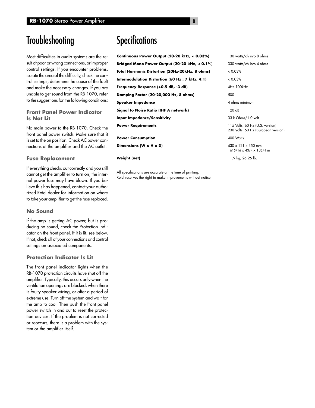#### **RB-1070** Stereo Power Amplifier

# **Troubleshooting**

Most difficulties in audio systems are the result of poor or wrong connections, or improper control settings. If you encounter problems, isolate the area of the difficulty, check the control settings, determine the cause of the fault and make the necessary changes. If you are unable to get sound from the RB-1070, refer to the suggestions for the following conditions:

#### **Front Panel Power Indicator Is Not Lit**

No main power to the RB-1070. Check the front panel power switch. Make sure that it is set to the on position. Check AC power connections at the amplifier and the AC outlet.

#### **Fuse Replacement**

If everything checks out correctly and you still cannot get the amplifier to turn on, the internal power fuse may have blown. If you believe this has happened, contact your authorized Rotel dealer for information on where to take your amplifier to get the fuse replaced.

#### **No Sound**

If the amp is getting AC power, but is producing no sound, check the Protection indicator on the front panel. If it is lit, see below. If not, check all of your connections and control settings on associated components.

#### **Protection Indicator Is Lit**

The front panel indicator lights when the RB-1070 protection circuits have shut off the amplifier. Typically, this occurs only when the ventilation openings are blocked, when there is faulty speaker wiring, or after a period of extreme use. Turn off the system and wait for the amp to cool. Then push the front panel power switch in and out to reset the protection devices. If the problem is not corrected or reoccurs, there is a problem with the system or the amplifier itself.

# **Specifications**

| Continuous Power Output (20-20 kHz, < 0.03%)    | 130 watts/ch into 8 ohms                                          |
|-------------------------------------------------|-------------------------------------------------------------------|
| Bridged Mono Power Output (20-20 kHz, < 0.1%)   | 330 watts/ch into 4 ohms                                          |
| Total Harmonic Distortion (20Hz-20kHz, 8 ohms)  | $< 0.03\%$                                                        |
| Intermodulation Distortion (60 Hz : 7 kHz, 4:1) | $0.03\%$                                                          |
| Frequency Response (+0.5 dB, -3 dB)             | 4Hz-100kHz                                                        |
| Damping Factor (20-20,000 Hz, 8 ohms)           | 500                                                               |
| Speaker Impedance                               | 4 ohms minimum                                                    |
| Signal to Noise Ratio (IHF A network)           | 120dB                                                             |
| Input Impedance/Sensitivity                     | 33 k Ohms/1.0 volt                                                |
| <b>Power Requirements</b>                       | 115 Volts, 60 Hz (U.S. version)<br>230 Volts, 50 Hz (European ver |
| <b>Power Consumption</b>                        | 400 Watts                                                         |
| Dimensions (W x H x D)                          | $430 \times 121 \times 350$ mm<br>1615/16 x 43/4 x 133/4 in       |

All specifications are accurate at the time of printing. Rotel reserves the right to make improvements without notice.

| Continuous Power Output (20-20 kHz, < 0.03%)   | 130 watts/ch into 8 ohms                                                |  |
|------------------------------------------------|-------------------------------------------------------------------------|--|
| Bridged Mono Power Output (20-20 kHz, < 0.1%)  | 330 watts/ch into 4 ohms                                                |  |
| Total Harmonic Distortion (20Hz-20kHz, 8 ohms) | $< 0.03\%$                                                              |  |
| Intermodulation Distortion (60 Hz: 7 kHz, 4:1) | $0.03\%$                                                                |  |
| Frequency Response (+0.5 dB, -3 dB)            | $4Hz-100kHz$                                                            |  |
| Damping Factor (20-20,000 Hz, 8 ohms)          | 500                                                                     |  |
| Speaker Impedance                              | 4 ohms minimum                                                          |  |
| Signal to Noise Ratio (IHF A network)          | 120dB                                                                   |  |
| <b>Input Impedance/Sensitivity</b>             | 33 k Ohms/1.0 volt                                                      |  |
| <b>Power Requirements</b>                      | 115 Volts, 60 Hz (U.S. version)<br>230 Volts, 50 Hz (European version)  |  |
| <b>Power Consumption</b>                       | 400 Watts                                                               |  |
| Dimensions (W $\times$ H $\times$ D)           | $430 \times 121 \times 350$ mm<br>$1615/16 \times 43/4 \times 133/4$ in |  |
| Weight (net)                                   | 11.9 kg, 26.25 lb.                                                      |  |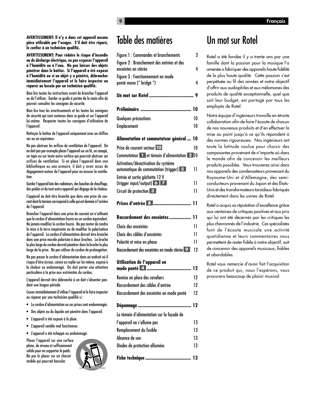**AVERTISSEMENT: Il n'y a dans cet appareil aucune pièce utilisable par l'usager. S'il doit être réparé, le confier à un technicien qualifié.**

**AVERTISSEMENT: Pour réduire le risque d'incendie ou de décharge électrique, ne pas exposer l'appareil à l'humidité ou à l'eau. Ne pas laisser des objets pénétrer dans le boîtier. Si l'appareil a été exposé à l'humidité ou si un objet y a pénétré, débrancher immédiatement l'appareil et le faire inspecter ou réparer au besoin par un technicien qualifié.**

Bien lire toutes les instructions avant de brancher l'appareil ou de l'utiliser. Garder ce guide à portée de la main afin de pouvoir consulter les consignes de sécurité.

Bien lire tous les avertissements et les toutes les consignes de sécurité qui sont contenus dans ce guide et sur l'appareil lui-même. Respecter toutes les consignes d'utilisation de l'appareil.

Nettoyer le boîtier de l'appareil uniquement avec un chiffon sec ou un aspirateur.

Ne pas obstruer les orifices de ventilation de l'appareil. On ne doit pas par exemple placer l'appareil sur un lit, un canapé, un tapis ou sur toute autre surface qui pourrait obstruer ses orifices de ventilation. Si on place l'appareil dans une bibliothèque ou une armoire, il doit y avoir assez de dégagement autour de l'appareil pour en assurer la ventilation.

Garder l'appareil loin des radiateurs, des bouches de chauffage, des poêles et de tout autre appareil qui dégage de la chaleur.

L'appareil ne doit être branché que dans une prise de courant dont la tension correspond à celle qui est donnée à l'arrière de l'appareil.

Brancher l'appareil dans une prise de courant en n'utilisant que le cordon d'alimentation fourni ou un cordon équivalent. Ne jamais modifier le cordon fourni. Ne pas tenter de rendre la mise à la terre inopérante ou de modifier la polarisation de l'appareil. Le cordon d'alimentation devrait être branché dans une prise murale polarisée à deux broches. La broche la plus large du cordon devrait pénétrer dans la broche la plus large de la prise. Ne pas utiliser de cordon de prolongation.

Ne pas passer le cordon d'alimentation dans un endroit où il risque d'être écrasé, coincé ou replié sur lui-même, exposé à la chaleur ou endommagé. On doit porter une attention particulière à la prise aux extrémités du cordon.

L'appareil devrait être débranché si on doit s'absenter pendant une longue période.

Cesser immédiatement d'utiliser l'appareil et le faire inspecter ou réparer par une technicien qualifié si :

- Le cordon d'alimentation ou ses prises sont endommagés.
- Des objets ou du liquide ont pénétré dans l'appareil.
- L'appareil a été exposé à la pluie.
- L'appareil semble mal fonctionner.
- L'appareil a été échappé ou endommagé.

Placer l'appareil sur une surface plane, de niveau et suffisamment solide pour en supporter le poids. Ne pas le placer sur un chariot mobile qui pourrait basculer.



# Table des matières

| Figure 1 : Commandes et branchements                             | 3  |
|------------------------------------------------------------------|----|
| Figure 2 : Branchement des entrées et des<br>enceintes en stéréo | 4  |
| Figure 3 : Fonctionnement en mode                                |    |
| ponté mono (" bridgé ")                                          | 4  |
|                                                                  | 9  |
|                                                                  | 10 |
| Quelques précautions                                             | 10 |
| <b>Emplacement</b>                                               | 10 |
| Alimentation et commutateur général  10                          |    |
| Prise de courant secteur 10                                      | 10 |
| Commutateur 1 et témoin d'alimentation 2 10                      |    |
| Activation/désactivation du système                              |    |
| automatique de commutation (trigger) 5                           | 11 |
| Entrée et sortie gâchette 12 V<br>(trigger input/output) 6 7     | 11 |
| Circuit de protection 3                                          | 11 |
|                                                                  |    |
| Prises d'entrée 8                                                | 11 |
| Raccordement des enceintes                                       | 11 |
| Choix des enceintes                                              | 11 |
| Choix des câbles d'enceintes                                     | 11 |
| Polarité et mise en phase                                        | 11 |
| Raccordement des enceintes en mode stéréo                        | 12 |
| Utilisation de l'appareil en                                     |    |
|                                                                  | 12 |
| Remise en place des cavaliers                                    | 12 |
| Raccordement des câbles d'entrée                                 | 12 |
| Raccordement des enceintes en mode ponté                         | 12 |
|                                                                  |    |
| Le témoin d'alimentation sur la façade de                        |    |
| l'appareil ne s'allume pas                                       | 13 |
| Remplacement du fusible                                          | 13 |
| Absence de son                                                   | 13 |
| Diodes de protection allumées                                    | 13 |
|                                                                  | 13 |

# Un mot sur Rotel

Rotel a été fondée il y a trente ans par une famille dont la passion pour la musique l'a amenée a fabriquer des appareils haute fidélité de la plus haute qualité. Cette passion s'est perpétuée au fil des années et notre objectif d'offrir aux audiophiles et aux mélomanes des produits de qualité exceptionnelle, quel que soit leur budget, est partagé par tous les employés de Rotel.

Notre équipe d'ingénieurs travaille en étroite collaboration afin de faire l'écoute de chacun de nos nouveaux produits et d'en effectuer la mise au point jusqu'à ce qu'ils répondent à des normes rigoureuses. Nos ingénieurs ont toute la latitude voulue pour choisir des composantes provenant de n'importe où dans le monde afin de concevoir les meilleurs produits possibles. Vous trouverez ainsi dans nos appareils des condensateurs provenant du Royaume-Uni et d'Allemagne, des semiconducteurs provenant du Japon et des États-Unis et des transformateurs toroïdaux fabriqués directement dans les usines de Rotel.

Rotel a acquis sa réputation d'excellence grâce aux centaines de critiques positives et aux prix qui lui ont été décernés par les critiques les plus chevronnés de l'industrie. Ces spécialistes font de l'écoute musicale une activité quotidienne et leurs commentaires nous permettent de rester fidèle à notre objectif, soit de concevoir des appareils musicaux, fiables et abordables.

Rotel vous remercie d'avoir fait l'acquisition de ce produit qui, nous l'espérons, vous procurera beaucoup de plaisir musical.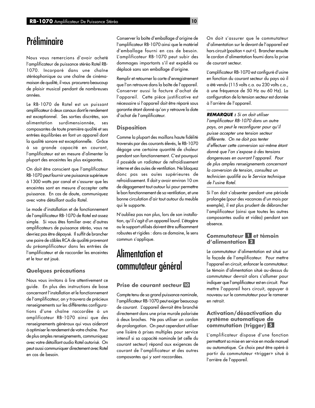# Préliminaire

Nous vous remercions d'avoir acheté l'amplificateur de puissance stéréo Rotel RB-1070. Incorporé dans une chaîne stéréophonique ou une chaîne de cinémamaison de qualité, il vous procurera beaucoup de plaisir musical pendant de nombreuses années.

Le RB-1070 de Rotel est un puissant amplificateur à deux canaux dont le rendement est exceptionnel. Ses sorties discrètes, son alimentation surdimensionnée, ses composantes de toute première qualité et ses entrées équilibrées en font un appareil dont la qualité sonore est exceptionnelle. Grâce à sa grande capacité en courant, l'amplificateur est en mesure d'alimenter la plupart des enceintes les plus exigeantes.

On doit être conscient que l'amplificateur RB-1070 peut fournir une puissance supérieure à 1300 watts par canal et s'assurer que les enceintes sont en mesure d'accepter cette puissance. En cas de doute, communiquez avec votre détaillant audio Rotel.

Le mode d'installation et de fonctionnement de l'amplificateur RB-1070 de Rotel est assez simple. Si vous êtes familier avec d'autres amplificateurs de puissance stéréo, vous ne devriez pas être dépaysé. Il suffit de brancher une paire de câbles RCA de qualité provenant du préamplificateur dans les entrées de l'amplificateur et de raccorder les enceintes et le tour est joué.

#### **Quelques précautions**

Nous vous invitons à lire attentivement ce guide. En plus des instructions de base concernant l'installation et le fonctionnement de l'amplificateur, on y trouvera de précieux renseignements sur les différentes configurations d'une chaîne raccordée à un amplificateur RB-1070 ainsi que des renseignements généraux qui vous aideront à optimiser le rendement de votre chaîne. Pour de plus amples renseignements, communiquez avec votre détaillant audio Rotel autorisé. On peut aussi communiquer directement avec Rotel en cas de besoin.

Conserver la boîte d'emballage d'origine de l'amplificateur RB-1070 ainsi que le matériel d'emballage fourni en cas de besoin. L'amplificateur RB-1070 peut subir des dommages importants s'il est expédié ou déplacé sans son emballage d'origine.

Remplir et retourner la carte d'enregistrement que l'on retrouve dans la boîte de l'appareil. Conserver aussi la facture d'achat de l'appareil. Cette pièce justificative est nécessaire si l'appareil doit être réparé sous garantie étant donné qu'on y retrouve la date d'achat de l'amplificateur.

#### **Disposition**

Comme la plupart des maillons haute fidélité traversés par des courants élevés, le RB-1070 dégage une certaine quantité de chaleur pendant son fonctionnement. C'est pourquoi il possède un radiateur de refroidissement interne et des ouïes de ventilation. Ne bloquez donc pas ses ouïes supérieures de refroidissement. Il doit y avoir environ 10 cm de dégagement tout autour lui pour permettre le bon fonctionnement de sa ventilation, et une bonne circulation d'air tout autour du meuble qui le supporte.

N'oubliez pas non plus, lors de son installation, qu'il s'agit d'un appareil lourd. L'étagère ou le support utilisés doivent être suffisamment robustes et rigides : dans ce domaine, le sens commun s'applique.

# Alimentation et commutateur général

#### **Prise de courant secteur**

Compte tenu de sa grand puissance nominale, l'amplificateur RB-1070 peut exiger beaucoup de courant. L'appareil devrait être branché directement dans une prise murale polarisée à deux broches. Ne pas utiliser un cordon de prolongation. On peut cependant utiliser une lisière à prises multiples pour service intensif si sa capacité nominale (et celle du courant secteur) répond aux exigences de courant de l'amplificateur et des autres composantes qui y sont raccordées.

On doit s'assurer que le commutateur d'alimentation sur le devant de l'appareil est hors circuit (position « out «). Brancher ensuite le cordon d'alimentation fourni dans la prise de courant secteur.

L'amplificateur RB-1070 est configuré d'usine en fonction du courant secteur du pays où il a été vendu (115 volts c.a. ou 230 volts c.a., à une fréquence de 50 Hz ou 60 Hz). La configuration de la tension secteur est donnée à l'arrière de l'appareil.

**REMARQUE :** Si on doit utiliser l'amplificateur RB-1070 dans un autre pays, on peut le reconfigurer pour qu'il puisse accepter une tension secteur différente. On ne doit pas tenter d'effectuer cette conversion soi-même étant donné que l'on s'expose à des tensions dangereuses en ouvrant l'appareil. Pour de plus amples renseignements concernant la conversion de tension, consultez un technicien qualifié ou le Service technique de l'usine Rotel.

Si l'on doit s'absenter pendant une période prolongée (pour des vacances d'un mois par exemple), il est plus prudent de débrancher l'amplificateur (ainsi que toutes les autres composantes audio et vidéo) pendant son absence.

#### **Commutateur II et témoin d'alimentation**

Le commutateur d'alimentation est situé sur la façade de l'amplificateur. Pour mettre l'appareil en circuit, enfoncer le commutateur. Le témoin d'alimentation situé au-dessus du commutateur devrait alors s'allumer pour indiquer que l'amplificateur est en circuit. Pour mettre l'appareil hors circuit, appuyer à nouveau sur le commutateur pour le ramener en retrait.

#### **Activation/désactivation du système automatique de commutation (trigger)**

L'amplificateur dispose d'une fonction permettant sa mise en service en mode manuel ou automatique. Ce choix peut être opéré à partir du commutateur «trigger» situé à l'arrière de l'appareil.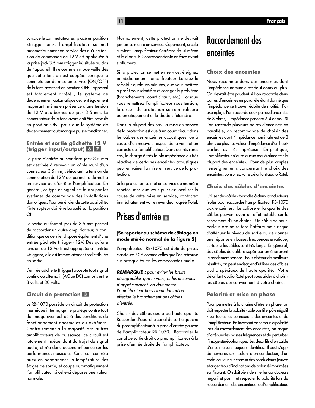Lorsque le commutateur est placé en position «trigger on», l'amplificateur se met automatiquement en service dès qu'une tension de commande de 12 V est appliquée à la prise jack 3.5 mm (trigger in) située au dos de l'appareil. Il retourne en mode veille dès que cette tension est coupée. Lorsque le commutateur de mise en service (ON/OFF) de la face avant est en position OFF, l'appareil est totalement arrêté ; le système de déclenchement automatique devient également inopérant, même en présence d'une tension de 12 V aux bornes du jack 3.5 mm. Le commutateur de la face avant doit être basculé en position ON pour que le système de déclenchement automatique puisse fonctionner.

#### **Entrée et sortie gâchette 12 V (trigger input/output)**

La prise d'entrée au standard jack 3.5 mm est destinée à recevoir un câble muni d'un connecteur 3.5 mm, véhiculant la tension de commutation de 12 V qui permettra de mettre en service ou d'arrêter l'amplificateur. En général, ce type de signal est fourni par les systèmes de commande des installations domotiques. Pour bénéficier de cette possibilité, l'interrupteur doit être basculé sur la position ON.

La sortie au format jack de 3.5 mm permet de raccorder un autre amplificateur, à condition que ce dernier dispose également d'une entrée gâchette (trigger) 12V. Dès qu'une tension de 12 Volts est appliquée à l'entrée «trigger», elle est immédiatement redistribuée en sortie.

L'entrée gâchette (trigger) accepte tout signal continu ou alternatif (AC ou DC) compris entre 3 volts et 30 volts.

#### **Circuit de protection**

Le RB-1070 possède un circuit de protection thermique interne, qui le protège contre tout dommage éventuel dû à des conditions de fonctionnement anormales ou extrêmes. Contrairement à la majorité des autres amplificateurs de puissance, ce circuit est totalement indépendant du trajet du signal audio, et n'a donc aucune influence sur les performances musicales. Ce circuit contrôle aussi en permanence la température des étages de sortie, et coupe automatiquement l'amplificateur si celle-ci dépasse une valeur normale.

Normalement, cette protection ne devrait jamais se mettre en service. Cependant, si cela survient, l'amplificateur s'arrêtera de lui-même et la diode LED correspondante en face avant s'allumera.

Si la protection se met en service, éteignez immédiatement l'amplificateur. Laissez le refroidir quelques minutes, que vous mettrez à profit pour identifier et corriger le problème (branchements, court-circuit, etc.). Lorsque vous remettrez l'amplificateur sous tension, le circuit de protection se réinitialisera automatiquement et la diode s␣ 'éteindra.

Dans la plupart des cas, la mise en service de la protection est due à un court-circuit dans les câbles des enceintes acoustiques, ou à cause d'un mauvais respect de la ventilation correcte de l'amplificateur. Dans de très rares cas, la charge à très faible impédance ou très réactive de certaines enceintes acoustiques peut entraîner la mise en service de la protection.

Si la protection se met en service de manière répétée sans que vous puissiez localiser la cause de cette mise en service, contactez immédiatement votre revendeur agréé Rotel.

# Prises d'entrée

#### **[Se reporter au schéma de câblage en mode stéréo normal de la Figure 2]**

L'amplificateur RB-1070 est doté de prises classiques RCA comme celles que l'on retrouve sur presque toutes les composantes audio.

**REMARQUE :** pour éviter les bruits désagréables que ni vous, ni les enceintes <sup>n</sup>'apprécieraient, on doit mettre l'amplificateur hors circuit lorsqu'on effectue le branchement des câbles d'entrée.

Choisir des câbles audio de haute qualité. Raccorder d'abord le canal de sortie gauche du préamplificateur à la prise d'entrée gauche de l'amplificateur RB-1070. Raccorder le canal de sortie droit du préamplificateur à la prise d'entrée droite de l'amplificateur.

# Raccordement des enceintes

#### **Choix des enceintes**

Nous recommandons des enceintes dont l'impédance nominale est de 4 ohms ou plus. On devrait être prudent si l'on raccorde deux paires d'enceintes en parallèle étant donné que l'impédance se trouve réduite de moitié. Par exemple, si l'on raccorde deux paires d'enceintes de 8 ohms, l'impédance passera à 4 ohms. Si l'on raccorde plusieurs paires d'enceintes en parallèle, on recommande de choisir des enceintes dont l'impédance nominale est de 8 ohms ou plus. La valeur d'impédance d'un hautparleur est très imprécise. En pratique, l'amplificateur n'aura aucun mal à alimenter la plupart des enceintes. Pour de plus amples renseignements concernant le choix des enceintes, consultez votre détaillant audio Rotel.

#### **Choix des câbles d'enceintes**

Utiliser des câbles torsadés à deux conducteurs isolés pour raccorder l'amplificateur RB-1070 aux enceintes. Le calibre et la qualité des câbles peuvent avoir un effet notable sur le rendement d'une chaîne. Un câble de hautparleur ordinaire fera l'affaire mais risque d'atténuer le niveau de sortie ou de donner une réponse en basses fréquences erratique, surtout si les câbles sont très longs. En général, des câbles de calibre supérieur amélioreront le rendement sonore. Pour obtenir de meilleurs résultats, on peut envisager d'utiliser des câbles audio spéciaux de haute qualité. Votre détaillant audio Rotel peut vous aider à choisir les câbles qui conviennent à votre chaîne.

#### **Polarité et mise en phase**

Pour permettre à la chaîne d'être en phase, on doit respecter la polarité - pôle positif et pôle négatif - sur toutes les connexions des enceintes et de l'amplificateur. En inversant par erreur la polarité lors du raccordement des enceintes, on risque d'atténuer les basses fréquences et de perturber l'image stéréophonique. Les deux fils d'un câble d'enceinte sont toujours identifiés. Il peut s'agir de nervures sur l'isolant d'un conducteur, d'un code-couleur sur chacun des conducteurs (cuivre et argent) ou d'indications de polarité imprimées sur l'isolant. On doit bien identifier les conducteurs négatif et positif et respecter la polarité lors du raccordement des enceintes et de l'amplificateur.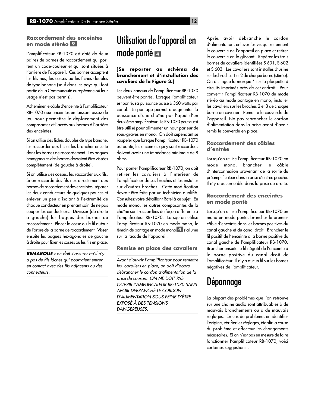#### **Raccordement des enceintes en mode stéréo**

L'amplificateur RB-1070 est doté de deux paires de bornes de raccordement qui portent un code-couleur et qui sont situées à l'arrière de l'appareil. Ces bornes acceptent les fils nus, les cosses ou les fiches doubles de type banane (sauf dans les pays qui font partie de la Communauté européenne où leur usage n'est pas permis).

Acheminer le câble d'enceinte à l'amplificateur RB-1070 aux enceintes en laissant assez de jeu pour permettre le déplacement des composantes et l'accès aux bornes à l'arrière des enceintes.

Si on utilise des fiches doubles de type banane, les raccorder aux fils et les brancher ensuite dans les bornes de raccordement. Les bagues hexagonales des bornes devraient être vissées complètement (de gauche à droite).

Si on utilise des cosses, les raccorder aux fils. Si on raccorde des fils nus directement aux bornes de raccordement des enceintes, séparer les deux conducteurs de quelques pouces et enlever un peu d'isolant à l'extrémité de chaque conducteur en prenant soin de ne pas couper les conducteurs. Dévisser (de droite à gauche) les bagues des bornes de raccordement. Placer la cosse ou le fil autour de l'arbre de la borne de raccordement. Visser ensuite les bagues hexagonales de gauche à droite pour fixer les cosses ou les fils en place.

**REMARQUE :** on doit s'assurer qu'il n'y a pas de fils lâches qui pourraient entrer en contact avec des fils adjacents ou des connecteurs.

# Utilisation de l'appareil en mode ponté

#### **[Se reporter au schéma de branchement et d'installation des cavaliers de la Figure 3.]**

Les deux canaux de l'amplificateur RB-1070 peuvent être pontés. Lorsque l'amplificateur est ponté, sa puissance passe à 360 watts par canal. Le pontage permet d'augmenter la puissance d'une chaîne par l'ajout d'un deuxième amplificateur. Le RB-1070 peut aussi être utilisé pour alimenter un haut-parleur de sous-graves en mono. On doit cependant se rappeler que lorsque l'amplificateur RB-1070 est ponté, les enceintes qui y sont raccordées doivent avoir une impédance minimale de 8 ohms.

Pour ponter l'amplificateur RB-1070, on doit retirer les cavaliers à l'intérieur de l'amplificateur de ses broches et les installer sur d'autres broches. Cette modification devrait être faite par un technicien qualifié. Consultez votre détaillant Rotel à ce sujet. En mode mono, les autres composantes de la chaîne sont raccordées de façon différente à l'amplificateur RB-1070. Lorsqu'on utilise l'amplificateur RB-1070 en mode mono, le témoin de pontage en mode mono 4 s'allume sur la façade de l'appareil.

#### **Remise en place des cavaliers**

Avant d'ouvrir l'amplificateur pour remettre les cavaliers en place, on doit d'abord débrancher le cordon d'alimentation de la prise de courant. ON NE DOIT PAS OUVRIR L'AMPLIFICATEUR RB-1070 SANS AVOIR DÉBRANCHÉ LE CORDON D'ALIMENTATION SOUS PEINE D'ÊTRE EXPOSÉ À DES TENSIONS DANGEREUSES.

Après avoir débranché le cordon d'alimentation, enlever les vis qui retiennent le couvercle de l'appareil en place et retirer le couvercle en le glissant. Repérer les trois bornes de cavaliers identifiées S 601, S 602 et S 603. Les cavaliers sont installés d'usine sur les broches 1 et 2 de chaque borne (stéréo). On distingue la marque \* sur la plaquette à circuits imprimés près de cet endroit. Pour convertir l'amplificateur RB-1070 du mode stéréo au mode pontage en mono, installer les cavaliers sur les broches 2 et 3 de chaque borne de cavalier. Remettre le couvercle de l'appareil. Ne pas rebrancher le cordon d'alimentation dans la prise avant d'avoir remis le couvercle en place.

#### **Raccordement des câbles d'entrée**

Lorsqu'on utilise l'amplificateur RB-1070 en mode mono, brancher le câble d'interconnexion provenant de la sortie du préamplificateur dans la prise d'entrée gauche. Il n'y a aucun câble dans la prise de droite.

#### **Raccordement des enceintes en mode ponté**

Lorsqu'on utilise l'amplificateur RB-1070 en mono en mode ponté, brancher le premier câble d'enceinte dans les bornes positives du canal gauche et du canal droit. Brancher le fil positif de l'enceinte à la borne positive du canal gauche de l'amplificateur RB-1070. Brancher ensuite le fil négatif de l'enceinte à la borne positive du canal droit de l'amplificateur. Il n'y a aucun fil sur les bornes négatives de l'amplificateur.

# Dépannage

La plupart des problèmes que l'on retrouve sur une chaîne audio sont attribuables à de mauvais branchements ou à de mauvais réglages. En cas de problème, en identifier l'origine, vérifier les réglages, établir la cause du problème et effecteur les changements nécessaires. Si on n'est pas en mesure de faire fonctionner l'amplificateur RB-1070, voici certaines suggestions :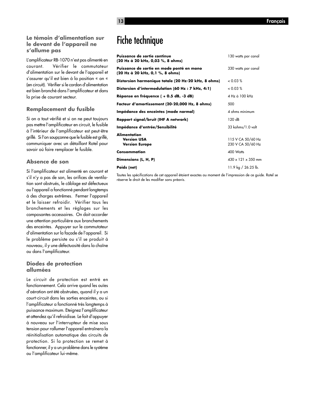#### **Le témoin d'alimentation sur le devant de l'appareil ne s'allume pas**

L'amplificateur RB-1070 n'est pas alimenté en Vérifier le commutateur d'alimentation sur le devant de l'appareil et s'assurer qu'il est bien à la position « on « (en circuit). Vérifier si le cordon d'alimentation est bien branché dans l'amplificateur et dans la prise de courant secteur.

#### **Remplacement du fusible**

Si on a tout vérifié et si on ne peut toujours pas mettre l'amplificateur en circuit, le fusible à l'intérieur de l'amplificateur est peut-être grillé. Si l'on soupçonne que le fusible est grillé, communiquer avec un détaillant Rotel pour savoir où faire remplacer le fusible.

#### **Absence de son**

Si l'amplificateur est alimenté en courant et s'il n'y a pas de son, les orifices de ventilation sont obstrués, le câblage est défectueux ou l'appareil a fonctionné pendant longtemps à des charges extrêmes. Fermer l'appareil et le laisser refroidir. Vérifier tous les branchements et les réglages sur les composantes accessoires. On doit accorder une attention particulière aux branchements des enceintes. Appuyer sur le commutateur d'alimentation sur la façade de l'appareil. Si le problème persiste ou s'il se produit à nouveau, il y une défectuosité dans la chaîne ou dans l'amplificateur.

#### **Diodes de protection allumées**

Le circuit de protection est entré en fonctionnement. Cela arrive quand les ouïes d'aération ont été obstruées, quand il y a un court-circuit dans les sorties enceintes, ou si l'amplificateur a fonctionné très longtemps à puissance maximum. Eteignez l'amplificateur et attendez qu'il refroidisse. Le fait d'appuyer à nouveau sur l'interrupteur de mise sous tension pour rallumer l'appareil entraînera la réinitialisation automatique des circuits de protection. Si la protection se remet à fonctionner, il y a un problème dans le système ou l'amplificateur lui-même.

# Fiche technique

| Puissance de sortie continue<br>(20 Hz à 20 kHz, 0,03 %, 8 ohms)             | 130 watts par canal                    |
|------------------------------------------------------------------------------|----------------------------------------|
| Puissance de sortie en mode ponté en mono<br>(20 Hz à 20 kHz, 0,1 %, 8 ohms) | 330 watts par canal                    |
| Distorsion harmonique totale (20 Hz-20 kHz, 8 ohms)                          | < 0.03 %                               |
| Distorsion d'intermodulation (60 Hz : 7 kHz, 4:1)                            | $0.03\%$                               |
| Réponse en fréquence ( + 0.5 dB, -3 dB)                                      | 4 Hz à 100 kHz                         |
| Facteur d'amortissement (20-20,000 Hz, 8 ohms)                               | 500                                    |
| Impédance des enceintes (mode normal)                                        | 4 ohms minimum                         |
| Rapport signal/bruit (IHF A network)                                         | 120 dB                                 |
| Impédance d'entrée/Sensibilité                                               | 33 kohms/1.0 volt                      |
| <b>Alimentation</b><br><b>Version USA</b><br><b>Version Europe</b>           | 115 V CA 50/60 Hz<br>230 V CA 50/60 Hz |
| Consommation                                                                 | 400 Watts                              |
| Dimensions (L, H, P)                                                         | $430 \times 121 \times 350$ mm         |
| Poids (net)                                                                  | 11.9 kg $/$ 26.25 lb.                  |

Toutes les spécifications de cet appareil étaient exactes au moment de l'impression de ce guide. Rotel se réserve le droit de les modifier sans préavis.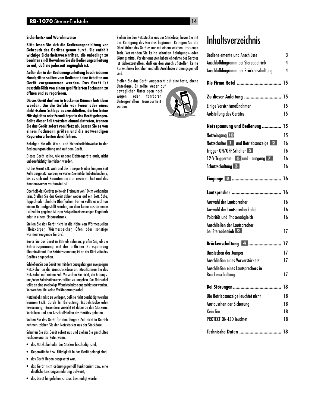#### **RB-1070** Stereo-Endstufe

**Sicherheits- und Warnhinweise**

**Bitte lesen Sie sich die Bedienungsanleitung vor Gebrauch des Gerätes genau durch. Sie enthält wichtige Sicherheitsvorschriften, die unbedingt zu beachten sind! Bewahren Sie die Bedienungsanleitung so auf, daß sie jederzeit zugänglich ist.**

**Außer den in der Bedienungsanleitung beschriebenen Handgriffen sollten vom Bediener keine Arbeiten am Gerät vorgenommen werden. Das Gerät ist ausschließlich von einem qualifizierten Fachmann zu öffnen und zu reparieren.**

**Dieses Gerät darf nur in trockenen Räumen betrieben werden. Um die Gefahr von Feuer oder eines elektrischen Schlags auszuschließen, dürfen keine Flüssigkeiten oder Fremdkörper in das Gerät gelangen. Sollte dieser Fall trotzdem einmal eintreten, trennen Sie das Gerät sofort vom Netz ab. Lassen Sie es von einem Fachmann prüfen und die notwendigen Reparaturarbeiten durchführen.**

Befolgen Sie alle Warn- und Sicherheitshinweise in der Bedienungsanleitung und auf dem Gerät.

Dieses Gerät sollte, wie andere Elektrogeräte auch, nicht unbeaufsichtigt betrieben werden.

Ist das Gerät z.B. während des Transports über längere Zeit Kälte ausgesetzt worden, so warten Sie mit der Inbetriebnahme, bis es sich auf Raumtemperatur erwärmt hat und das Kondenswasser verdunstet ist.

Oberhalb des Gerätes sollte ein Freiraum von 10 cm vorhanden sein. Stellen Sie das Gerät daher weder auf ein Bett, Sofa, Teppich oder ähnliche Oberflächen. Ferner sollte es nicht an einem Ort aufgestellt werden, an dem keine ausreichende Luftzufuhr gegeben ist, zum Beispiel in einem engen Regalfach oder in einem Einbauschrank.

Stellen Sie das Gerät nicht in die Nähe von Wärmequellen (Heizkörper, Wärmespeicher, Öfen oder sonstige wärmeerzeugende Geräte).

Bevor Sie das Gerät in Betrieb nehmen, prüfen Sie, ob die Betriebsspannung mit der örtlichen Netzspannung übereinstimmt. Die Betriebsspannung ist an der Rückseite des Gerätes angegeben.

Schließen Sie das Gerät nur mit dem dazugehörigen zweipoligen Netzkabel an die Wandsteckdose an. Modifizieren Sie das Netzkabel auf keinen Fall. Versuchen Sie nicht, die Erdungsund/oder Polarisationsvorschriften zu umgehen. Das Netzkabel sollte an eine zweipolige Wandsteckdose angeschlossen werden. Verwenden Sie keine Verlängerungskabel.

Netzkabel sind so zu verlegen, daß sie nicht beschädigt werden können (z.B. durch Trittbelastung, Möbelstücke oder Erwärmung). Besondere Vorsicht ist dabei an den Steckern, Verteilern und den Anschlußstellen des Gerätes geboten.

Sollten Sie das Gerät für eine längere Zeit nicht in Betrieb nehmen, ziehen Sie den Netzstecker aus der Steckdose.

Schalten Sie das Gerät sofort aus und ziehen Sie geschultes Fachpersonal zu Rate, wenn:

- das Netzkabel oder der Stecker beschädigt sind,
- Gegenstände bzw. Flüssigkeit in das Gerät gelangt sind,
- das Gerät Regen ausgesetzt war,
- das Gerät nicht ordnungsgemäß funktioniert bzw. eine deutliche Leistungsminderung aufweist,
- das Gerät hingefallen ist bzw. beschädigt wurde.

Ziehen Sie den Netzstecker aus der Steckdose, bevor Sie mit der Reinigung des Gerätes beginnen. Reinigen Sie die Oberflächen des Gerätes nur mit einem weichen, trockenen Tuch. Verwenden Sie keine scharfen Reinigungs- oder Lösungsmittel. Vor der erneuten Inbetriebnahme des Gerätes ist sicherzustellen, daß an den Anschlußstellen keine Kurzschlüsse bestehen und alle Anschlüsse ordnungsgemäß sind.

Stellen Sie das Gerät waagerecht auf eine feste, ebene

Unterlage. Es sollte weder auf beweglichen Unterlagen noch Wagen oder fahrbaren Untergestellen transportiert werden.



# **Inhaltsverzeichnis**

| Bedienelemente und Anschlüsse         | 3  |
|---------------------------------------|----|
| Anschlußdiagramm bei Stereobetrieb    | 4  |
| Anschlußdiagramm bei Brückenschaltung | 4  |
|                                       |    |
| Zu dieser Anleitung                   | 15 |
| Einige Vorsichtsmaßnahmen             | 15 |
| Aufstellung des Gerätes               | 15 |
| Netzspannung und Bedienung            | 15 |
| Netzeingang 10                        | 15 |
| Netzschalter 1 und Betriebsanzeige 2  | 16 |
| Trigger ON/OFF Schalter 5             | 16 |
| 12-V-Triggerein- 6 und - ausgang 7    | 16 |
| Schutzschaltung 3                     | 16 |
|                                       |    |
|                                       | 16 |
| Auswahl der Lautsprecher              | 16 |
| Auswahl der Lautsprecherkabel         | 16 |
| Polarität und Phasenabgleich          | 16 |
| Anschließen der Lautsprecher          |    |
| bei Stereobetrieb <sup>9</sup>        | 17 |
| Brückenschaltung 4  17                |    |
| Umstecken der Jumper                  | 17 |
| Anschließen eines Vorverstärkers      | 17 |
| Anschließen eines Lautsprechers in    |    |
| Brückenschaltung                      | 17 |
|                                       | 18 |
| Die Betriebsanzeige leuchtet nicht    | 18 |
| Austauschen der Sicherung             | 18 |
| <b>Kein Ton</b>                       | 18 |
| <b>PROTECTION-LED leuchtet</b>        | 18 |
| Technische Daten                      | 18 |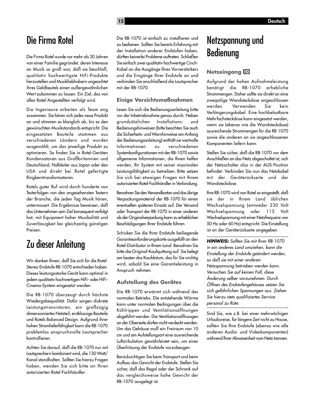# Die Firma Rotel

Die Firma Rotel wurde vor mehr als 30 Jahren von einer Familie gegründet, deren Interesse an Musik so groß war, daß sie beschloß, qualitativ hochwertigste HiFi-Produkte herzustellen und Musikliebhabern ungeachtet ihres Geldbeutels einen außergewöhnlichen Wert zukommen zu lassen. Ein Ziel, das von allen Rotel-Angestellten verfolgt wird.

Die Ingenieure arbeiten als Team eng zusammen. Sie hören sich jedes neue Produkt an und stimmen es klanglich ab, bis es den gewünschten Musikstandards entspricht. Die eingesetzten Bauteile stammen aus verschiedenen Ländern und wurden ausgewählt, um das jeweilige Produkt zu optimieren. So finden Sie in Rotel-Geräten Kondensatoren aus Großbritannien und Deutschland, Halbleiter aus Japan oder den USA und direkt bei Rotel gefertigte Ringkerntransformatoren.

Rotels guter Ruf wird durch hunderte von Testerfolgen von den angesehensten Testern der Branche, die jeden Tag Musik hören, untermauert. Die Ergebnisse beweisen, daß das Unternehmen sein Ziel konsequent verfolgt hat, mit Equipment hoher Musikalität und Zuverlässigkeit bei gleichzeitig günstigen Preisen.

# Zu dieser Anleitung

Wir danken Ihnen, daß Sie sich für die Rotel-Stereo-Endstufe RB-1070 entschieden haben. Dieses leistungsstarke Gerät kann optimal in jedem qualitativ hochwertigen HiFi- oder HiFi-Cinema-System eingesetzt werden.

Die RB-1070 überzeugt durch höchste Wiedergabequalität. Dafür sorgen diskrete Leistungstransistoren, ein großzügig dimensioniertes Netzteil, erstklassige Bauteile und Rotels Balanced Design. Aufgrund ihrer hohen Stromlieferfähigkeit kann die RB-1070 problemlos anspruchsvolle Lautsprecher kontrollieren.

Achten Sie darauf, daß die RB-1070 nur mit Lautsprechern kombiniert wird, die 130 Watt/ Kanal standhalten. Sollten Sie hierzu Fragen haben, wenden Sie sich bitte an Ihren autorisierten Rotel-Fachhändler.

Die RB-1070 ist einfach zu installieren und zu bedienen. Sollten Sie bereits Erfahrung mit der Installation anderer Endstufen haben, dürften keinerlei Probleme auftreten. Schließen Sie einfach zwei qualitativ hochwertige Cinch-Kabel an die Ausgänge Ihres Vorverstärkers und die Eingänge Ihrer Endstufe an und verbinden Sie anschließend die Lautsprecher mit der RB-1070.

#### **Einige Vorsichtsmaßnahmen**

Lesen Sie sich die Bedienungsanleitung bitte vor der Inbetriebnahme genau durch. Neben grundsätzlichen Installations- und Bedienungshinweisen (bitte beachten Sie auch die Sicherheits- und Warnhinweise am Anfang der Bedienungsanleitung) enthält sie wertvolle Informationen zu verschiedenen Systemkonfigurationen mit der RB-1070 sowie allgemeine Informationen, die Ihnen helfen werden, Ihr System mit seiner maximalen Leistungsfähigkeit zu betreiben. Bitte setzen Sie sich bei etwaigen Fragen mit Ihrem autorisierten Rotel-Fachhändler in Verbindung.

Bewahren Sie den Versandkarton und das übrige Verpackungsmaterial der RB-1070 für einen eventuellen späteren Einsatz auf. Der Versand oder Transport der RB-1070 in einer anderen als der Originalverpackung kann zu erheblichen Beschädigungen Ihrer Endstufe führen.

Schicken Sie die Ihrer Endstufe beiliegende Garantieanforderungskarte ausgefüllt an den Rotel-Distributor in Ihrem Land. Bewahren Sie bitte die Original-Kaufquittung auf. Sie belegt am besten das Kaufdatum, das für Sie wichtig wird, sobald Sie eine Garantieleistung in Anspruch nehmen.

#### **Aufstellung des Gerätes**

Die RB-1070 erwärmt sich während des normalen Betriebs. Die entstehende Wärme kann unter normalen Bedingungen über die Kühlrippen und Ventilationsöffnungen abgeführt werden. Die Ventilationsöffnungen an der Oberseite dürfen nicht verdeckt werden. Um das Gehäuse muß ein Freiraum von 10 cm und am Aufstellungsort eine ausreichende Luftzirkulation gewährleistet sein, um einer Überhitzung der Endstufe vorzubeugen.

Berücksichtigen Sie beim Transport und beim Aufbau das Gewicht der Endstufe. Stellen Sie sicher, daß das Regal oder der Schrank auf das vergleichsweise hohe Gewicht der RB-1070 ausgelegt ist.

# Netzspannung und Bedienung

#### **Netzeingang**

Aufgrund der hohen Aufnahmeleistung<br>benötiat die RB-1070 erhebliche benötigt die RB-1070 Strommengen. Daher sollte sie direkt an eine zweipolige Wandsteckdose angeschlossen werden. Verwenden Sie kein Verlängerungskabel. Eine hochbelastbare Mehrfachsteckdose kann eingesetzt werden, wenn sie (ebenso wie die Wandsteckdose) ausreichende Strommengen für die RB-1070 sowie die anderen an sie angeschlossenen Komponenten liefern kann.

Stellen Sie sicher, daß die RB-1070 vor dem Anschließen an das Netz abgeschaltet ist, sich der Netzschalter also in der AUS-Position befindet. Verbinden Sie nun das Netzkabel mit der Geräterückseite und der Wandsteckdose.

Ihre RB-1070 wird von Rotel so eingestellt, daß sie der in Ihrem Land üblichen Wechselspannung (entweder 230 Volt Wechselspannung oder 115 Volt Wechselspannung mit einer Netzfrequenz von 50 Hz oder 60 Hz) entspricht. Die Einstellung ist an der Geräterückseite angegeben.

**HINWEIS:** Sollten Sie mit Ihrer RB-1070 in ein anderes Land umziehen, kann die Einstellung der Endstufe geändert werden, so daß sie mit einer anderen Netzspannung betrieben werden kann. Versuchen Sie auf keinen Fall, diese Änderung selber vorzunehmen. Durch Öffnen des Endstufengehäuses setzen Sie sich gefährlichen Spannungen aus. Ziehen Sie hierzu stets qualifiziertes Servicepersonal zu Rate.

Sind Sie, wie z.B. bei einer mehrwöchigen Urlaubsreise, für längere Zeit nicht zu Hause, sollten Sie Ihre Endstufe (ebenso wie alle anderen Audio- und Videokomponenten) während Ihrer Abwesenheit vom Netz trennen.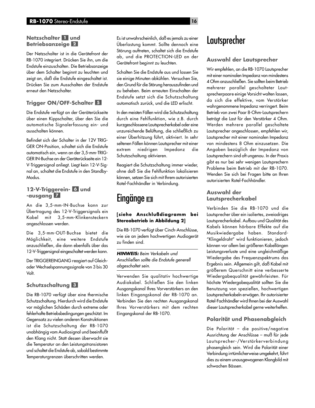#### **Netzschalter II** und **Betriebsanzeige**

Der Netzschalter ist in die Gerätefront der RB-1070 integriert. Drücken Sie ihn, um die Endstufe einzuschalten. Die Betriebsanzeige über dem Schalter beginnt zu leuchten und zeigt an, daß die Endstufe eingeschaltet ist. Drücken Sie zum Ausschalten der Endstufe erneut den Netzschalter.

#### **Trigger ON/OFF-Schalter**

Die Endstufe verfügt an der Geräterückseite über einen Kippschalter, über den Sie die automatische Signalerfassung ein- und ausschalten können.

Befindet sich der Schalter in der 12V TRIG-GER ON-Position, schaltet sich die Endstufe automatisch ein, wenn an der 3,5-mm-TRIG-GER IN-Buchse an der Geräterückseite ein 12- V-Triggersignal anliegt. Liegt kein 12-V-Signal an, schaltet die Endstufe in den Standby-Modus.

#### **12-V-Triggerein- 6 und -ausgang**

An die 3,5-mm-IN-Buchse kann zur Übertragung des 12-V-Triggersignals ein Kabel mit 3,5-mm-Klinkensteckern angeschlossen werden.

Die 3,5-mm-OUT-Buchse bietet die Möglichkeit, eine weitere Endstufe anzuschließen, die dann ebenfalls über das 12-V-Triggersignal eingeschaltet werden kann.

Der TRIGGEREINGANG reagiert auf Gleichoder Wechselspannungssignale von 3 bis 30 Volt.

#### **Schutzschaltung**

Die RB-1070 verfügt über eine thermische Schutzschaltung. Hierdurch wird die Endstufe vor möglichen Schäden durch extreme oder fehlerhafte Betriebsbedingungen geschützt. Im Gegensatz zu vielen anderen Konstruktionen ist die Schutzschaltung der RB-1070 unabhängig vom Audiosignal und beeinflußt den Klang nicht. Statt dessen überwacht sie die Temperatur an den Leistungstransistoren und schaltet die Endstufe ab, sobald bestimmte Temperaturgrenzen überschritten werden.

Es ist unwahrscheinlich, daß es jemals zu einer Überlastung kommt. Sollte dennoch eine Störung auftreten, schaltet sich die Endstufe ab, und die PROTECTION-LED an der Gerätefront beginnt zu leuchten.

Schalten Sie die Endstufe aus und lassen Sie sie einige Minuten abkühlen. Versuchen Sie, den Grund für die Störung herauszufinden und zu beheben. Beim erneuten Einschalten der Endstufe setzt sich die Schutzschaltung automatisch zurück, und die LED erlischt.

In den meisten Fällen wird die Schutzschaltung durch eine Fehlfunktion, wie z.B. durch kurzgeschlossene Lautsprecherkabel oder eine unzureichende Belüftung, die schließlich zu einer Überhitzung führt, aktiviert. In sehr seltenen Fällen können Lautsprecher mit einer extrem niedrigen Impedanz die Schutzschaltung aktivieren.

Reagiert die Schutzschaltung immer wieder, ohne daß Sie die Fehlfunktion lokalisieren können, setzen Sie sich mit Ihrem autorisierten Rotel-Fachhändler in Verbindung.

# Eingänge

#### **[siehe Anschlußdiagramm bei Stereobetrieb in Abbildung 2]**

Die RB-1070 verfügt über Cinch-Anschlüsse, wie sie an jedem hochwertigen Audiogerät zu finden sind.

**HINWEIS:** Beim Verkabeln und Anschließen sollte die Endstufe generell abgeschaltet sein.

Verwenden Sie qualitativ hochwertige Audiokabel. Schließen Sie den linken Ausgangskanal Ihres Vorverstärkers an den linken Eingangskanal der RB-1070 an. Verbinden Sie den rechten Ausgangskanal Ihres Vorverstärkers mit dem rechten Eingangskanal der RB-1070.

# Lautsprecher

#### **Auswahl der Lautsprecher**

Wir empfehlen, an die RB-1070 Lautsprecher mit einer nominalen Impedanz von mindestens 4 Ohm anzuschließen. Sie sollten beim Betrieb mehrerer parallel geschalteter Lautsprecherpaare einige Vorsicht walten lassen, da sich die effektive, vom Verstärker wahrgenommene Impedanz verringert. Beim Betrieb von zwei Paar 8-Ohm-Lautsprechern beträgt die Last für den Verstärker 4 Ohm. Werden mehrere parallel geschaltete Lautsprecher angeschlossen, empfehlen wir, Lautsprecher mit einer nominalen Impedanz von mindestens 8 Ohm einzusetzen. Die Angaben bezüglich der Impedanz von Lautsprechern sind oft ungenau. In der Praxis gibt es nur bei sehr wenigen Lautsprechern Probleme beim Betrieb mit der RB-1070. Wenden Sie sich bei Fragen bitte an Ihren autorisierten Rotel-Fachhändler.

#### **Auswahl der Lautsprecherkabel**

Verbinden Sie die RB-1070 und die Lautsprecher über ein isoliertes, zweiadriges Lautsprecherkabel. Aufbau und Qualität des Kabels können hörbare Effekte auf die Musikwiedergabe haben. Standard- "Klingeldraht" wird funktionieren, jedoch können vor allem bei größeren Kabellängen Leistungsverluste und eine ungleichmäßige Wiedergabe des Frequenzspektrums das Ergebnis sein. Allgemein gilt, daß Kabel mit größerem Querschnitt eine verbesserte Wiedergabequalität gewährleisten. Für höchste Wiedergabequalität sollten Sie die Benutzung von speziellen, hochwertigen Lautsprecherkabeln erwägen. Ihr autorisierter Rotel-Fachhändler wird Ihnen bei der Auswahl dieser Lautsprecherkabel gerne weiterhelfen.

#### **Polarität und Phasenabgleich**

Die Polarität – die positive/negative Ausrichtung der Anschlüsse – muß für jede Lautsprecher-/Verstärkerverbindung phasengleich sein. Wird die Polarität einer Verbindung irrtümlicherweise umgekehrt, führt dies zu einem unausgewogenen Klangbild mit schwachen Bässen.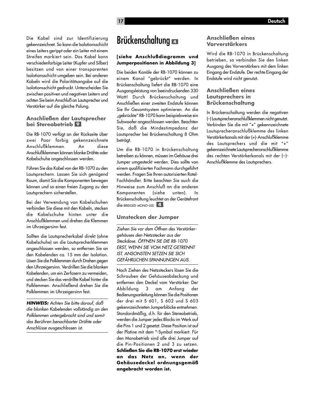Die Kabel sind zur Identifizierung gekennzeichnet. So kann die Isolationsschicht eines Leiters gerippt oder ein Leiter mit einem Streifen markiert sein. Das Kabel kann verschiedenfarbige Leiter (Kupfer und Silber) besitzen und von einer transparenten Isolationsschicht umgeben sein. Bei anderen Kabeln wird die Polaritätsangabe auf die Isolationsschicht gedruckt. Unterscheiden Sie zwischen positiven und negativen Leitern und achten Sie beim Anschluß an Lautsprecher und Verstärker auf die gleiche Polung.

#### **Anschließen der Lautsprecher bei Stereobetrieb**

Die RB-1070 verfügt an der Rückseite über zwei Paar farbig gekennzeichnete Anschlußklemmen. An diese Anschlußklemmen können blanke Drähte oder Kabelschuhe angeschlossen werden.

Führen Sie das Kabel von der RB-1070 zu den Lautsprechern. Lassen Sie sich genügend Raum, damit Sie die Komponenten bewegen können und so einen freien Zugang zu den Lautsprechern sicherstellen.

Bei der Verwendung von Kabelschuhen verbinden Sie diese mit den Kabeln, stecken die Kabelschuhe hinten unter die Anschlußklemmen und drehen die Klemmen im Uhrzeigersinn fest.

Sollten die Lautsprecherkabel direkt (ohne Kabelschuhe) an die Lautsprecherklemmen angeschlossen werden, so entfernen Sie an den Kabelenden ca. 15 mm der Isolation. Lösen Sie die Polklemmen durch Drehen gegen den Uhrzeigersinn. Verdrillen Sie die blanken Kabelenden, um ein Zerfasern zu vermeiden, und stecken Sie das verdrillte Kabel hinter die Polklemmen. Anschließend drehen Sie die Polklemmen im Uhrzeigersinn fest.

**HINWEIS:** Achten Sie bitte darauf, daß die blanken Kabelenden vollständig an den Polklemmen untergebracht sind und somit das Berühren benachbarter Drähte oder Anschlüsse ausgeschlossen ist.

# Brückenschaltung

#### **[siehe Anschlußdiagramm und Jumperpositionen in Abbildung 3]**

Die beiden Kanäle der RB-1070 können zu einem Kanal "gebrückt" werden. In Brückenschaltung liefert die RB-1070 eine Ausgangsleistung von beeindruckenden 330 Watt! Durch Brückenschaltung und Anschließen einer zweiten Endstufe können Sie Ihr Gesamtsystem optimieren. An die "gebrückte" RB-1070 kann beispielsweise ein Subwoofer angeschlossen werden. Beachten Sie, daß die Mindestimpedanz der Lautsprecher bei Brückenschaltung 8 Ohm beträgt.

Um die RB-1070 in Brückenschaltung betreiben zu können, müssen im Gehäuse drei Jumper umgesteckt werden. Dies sollte von einem qualifizierten Fachmann durchgeführt werden. Fragen Sie Ihren autorisierten Rotel-Fachhändler. Bitte beachten Sie auch die Hinweise zum Anschluß an die anderen Komponenten Brückenschaltung leuchtet an der Gerätefront die BRIDGED MONO-LED 4

#### **Umstecken der Jumper**

Ziehen Sie vor dem Öffnen des Verstärkergehäuses den Netzstecker aus der Steckdose. ÖFFNEN SIE DIE RB-1070 ERST, WENN SIE VOM NETZ GETRENNT IST. ANSONSTEN SETZEN SIE SICH GEFÄHRLICHEN SPANNUNGEN AUS.

Nach Ziehen des Netzsteckers lösen Sie die Schrauben der Gehäuseabdeckung und entfernen den Deckel vom Verstärker. Der<br>Abbilduna – 3. am – Anfana – der am Anfang der Bedienungsanleitung können Sie die Positionen der drei mit S 601, S 602 und S 603 gekennzeichneten Jumperblöcke entnehmen. Standardmäßig, d.h. für den Stereobetrieb, werden die Jumper jedes Blocks im Werk auf die Pins 1 und 2 gesetzt. Diese Position ist auf der Platine mit dem \*-Symbol markiert. Für den Monobetrieb sind alle drei Jumper auf die Pin-Positionen 2 und 3 zu setzen. **Schließen Sie die RB-1070 erst wieder an das Netz an, wenn der Gehäusedeckel ordnungsgemäß angebracht worden ist.**

#### **Anschließen eines Vorverstärkers**

Wird die RB-1070 in Brückenschaltung betrieben, so verbinden Sie den linken Ausgang des Vorverstärkers mit dem linken Eingang der Endstufe. Der rechte Eingang der Endstufe wird nicht genutzt.

#### **Anschließen eines Lautsprechers in Brückenschaltung**

In Brückenschaltung werden die negativen (–) Lautsprecheranschlußklemmen nicht genutzt. Verbinden Sie die mit "+" gekennzeichnete Lautsprecheranschlußklemme des linken Verstärkerkanals mit der (+)-Anschlußklemme des Lautsprechers und die mit "+" gekennzeichnete Lautsprecheranschlußklemme des rechten Verstärkerkanals mit der (–)- Anschlußklemme des Lautsprechers.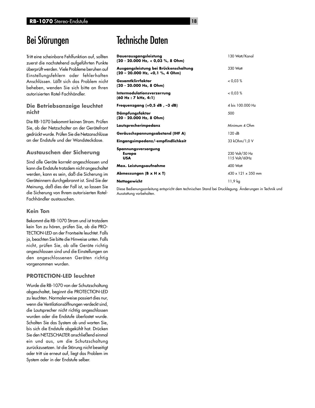# Bei Störungen

Tritt eine scheinbare Fehlfunktion auf, sollten zuerst die nachstehend aufgeführten Punkte überprüft werden. Viele Probleme beruhen auf Einstellungsfehlern oder fehlerhaften Anschlüssen. Läßt sich das Problem nicht beheben, wenden Sie sich bitte an Ihren autorisierten Rotel-Fachhändler.

#### **Die Betriebsanzeige leuchtet nicht**

Die RB-1070 bekommt keinen Strom. Prüfen Sie, ob der Netzschalter an der Gerätefront gedrückt wurde. Prüfen Sie die Netzanschlüsse an der Endstufe und der Wandsteckdose.

#### **Austauschen der Sicherung**

Sind alle Geräte korrekt angeschlossen und kann die Endstufe trotzdem nicht angeschaltet werden, kann es sein, daß die Sicherung im Geräteinnern durchgebrannt ist. Sind Sie der Meinung, daß dies der Fall ist, so lassen Sie die Sicherung von Ihrem autorisierten Rotel-Fachhändler austauschen.

#### **Kein Ton**

Bekommt die RB-1070 Strom und ist trotzdem kein Ton zu hören, prüfen Sie, ob die PRO-TECTION-LED an der Frontseite leuchtet. Falls ja, beachten Sie bitte die Hinweise unten. Falls nicht, prüfen Sie, ob alle Geräte richtig angeschlossen sind und die Einstellungen an den angeschlossenen Geräten richtig vorgenommen wurden.

#### **PROTECTION-LED leuchtet**

Wurde die RB-1070 von der Schutzschaltung abgeschaltet, beginnt die PROTECTION-LED zu leuchten. Normalerweise passiert dies nur, wenn die Ventilationsöffnungen verdeckt sind, die Lautsprecher nicht richtig angeschlossen wurden oder die Endstufe überlastet wurde. Schalten Sie das System ab und warten Sie, bis sich die Endstufe abgekühlt hat. Drücken Sie den NETZSCHALTER anschließend einmal ein und aus, um die Schutzschaltung zurückzusetzen. Ist die Störung nicht beseitigt oder tritt sie erneut auf, liegt das Problem im System oder in der Endstufe selber.

# Technische Daten

| Dauerausgangsleistung<br>(20 - 20.000 Hz, < 0,03 %, 8 Ohm)               | 130 Watt/Kanal                  |
|--------------------------------------------------------------------------|---------------------------------|
| Ausgangsleistung bei Brückenschaltung<br>(20 - 20.000 Hz, <0,1 %, 4 Ohm) | 330 Watt                        |
| Gesamtklirrfaktor<br>(20 - 20.000 Hz, 8 Ohm)                             | < 0.03 %                        |
| Intermodulationsverzerrung<br>(60 Hz : 7 kHz, 4:1)                       | < 0.03 %                        |
| Frequenzgang (+0,5 dB, -3 dB)                                            | 4 bis 100.000 Hz                |
| Dämpfungsfaktor<br>(20 - 20.000 Hz, 8 Ohm)                               | 500                             |
| Lautsprecherimpedanz                                                     | Minimum 4 Ohm                   |
| Geräuschspannungsabstand (IHF A)                                         | 120 dB                          |
| Eingangsimpedanz/-empfindlichkeit                                        | 33 kOhm/1,0 V                   |
| Spannungsversorgung<br>Europa<br><b>USA</b>                              | 230 Volt/50 Hz<br>115 Volt/60Hz |
| Max. Leistungsaufnahme                                                   | 400 Watt                        |
| Abmessungen (B x H x T)                                                  | $430 \times 121 \times 350$ mm  |
| Nettogewicht                                                             | 11,9 kg                         |

Diese Bedienungsanleitung entspricht dem technischen Stand bei Drucklegung. Änderungen in Technik und Ausstattung vorbehalten.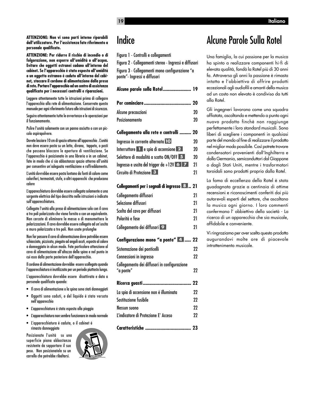**ATTENZIONE: Non vi sono parti interne riparabili dall'utilizzatore. Per l'assistenza fate riferimento a personale qualificato.**

**ATTENZIONE: Per ridurre il rischio di incendio o di folgorazione, non esporre all'umidità o all'acqua. Evitare che oggetti estranei cadano all'interno del cabinet. Se l'apparecchio è stato esposto all'umidità o un oggetto estraneo è caduto all'interno del cabinet, staccare il cordone di alimentazione dalla presa di rete. Portare l'apparecchio ad un centro di assistenza qualificato per i necessari controlli e riparazioni.**

Leggere attentamente tutte le istruzioni prima di collegare l'apparecchio alla rete di alimentazione. Conservate questo manuale per ogni riferimento futuro alle istruzioni di sicurezza.

Seguire attentamente tutte le avvertenze e le operazioni per il funzionamento.

Pulire l'unità solamente con un panno asciutto o con un piccolo aspirapolvere.

Dovete lasciare 10 cm di spazio attorno all'apparecchio . L'unità non deve essere posta su un letto, divano, tappeto, o posti che possano bloccare le aperture di ventilazione. Se l'apparecchio è posizionato in una libreria o in un cabinet, fate in modo che ci sia abbastanza spazio attorno all'unità per consentire un'adeguata ventilazione e raffreddamento.

L'unità dovrebbe essere posta lontano da fonti di calore come caloriferi, termostati, stufe, o altri apparecchi che producano calore

L'apparecchiatura dovrebbe essere collegata solamente a una sorgente elettrica del tipo descritto nelle istruzioni o indicato sull'apparecchiatura.

Collegate l'unità alla presa di alimentazione solo con il cavo a tre poli polarizzato che viene fornito o con un equivalente. Non cercate di eliminare la massa o di manomettere le polarizzazioni. Il cavo dovrebbe essere collegato ad un'uscita a muro polarizzata a tre poli. Non usate prolunghe

Non far passare il cavo di alimentazione dove potrebbe essere schiacciato, pizzicato, piegato ad angoli acuti, esposto al calore o danneggiato in alcun modo. Fate particolare attenzione al cavo di alimentazione all'altezza della spina e nel punto in cui esce dalla parte posteriore dell'apparecchio.

Il cordone di alimentazione dovrebbe essere scollegato quando l'apparecchiatura è inutilizzata per un periodo piuttosto lungo.

L'apparecchiatura dovrebbe essere disattivata e data a personale qualificato quando:

- Il cavo di alimentazione o la spina sono stati danneggiati
- Oggetti sono caduti, o del liquido è stato versato nell'apparecchio
- L'apparecchiatura è stata esposta alla pioggia
- L'apparecchiatura non sembra funzionare in modo normale
- L'apparecchiatura è caduta, o il cabinet è rimasto danneggiato

Posizionate l'unità su una superficie piana abbastanza resistente da sopportare il suo peso. Non posizionatela su un carrello che potrebbe ribaltarsi.



| Connessioni in ingresso                                   | 77 |
|-----------------------------------------------------------|----|
| Collegamento dei diffusori in configurazione<br>"a ponte" | 22 |
|                                                           | 22 |
| La spia di accensione non è illuminata                    | 77 |
| Sostituzione fusibile                                     | 22 |
| Nessun suono                                              | 77 |
| L'indicatore di Protezione E' Acceso                      | 77 |
|                                                           |    |

**Configurazione mono "a ponte" ..... 22** Sistemazione dei ponticelli 22

**Caratteristiche .................................... 23**

| <b>Alcune Parole Sulla Rotel</b> |  |  |
|----------------------------------|--|--|
|----------------------------------|--|--|

Una famiglia, la cui passione per la musica ha spinto a realizzare componenti hi-fi di elevata qualità, fondò la Rotel più di 30 anni fa. Attraverso gli anni la passione è rimasta intatta e l'obbiettivo di offrire prodotti eccezionali agli audiofili e amanti della musica ad un costo non elevato è condiviso da tutti alla Rotel.

Gli ingegneri lavorano come una squadra affiatata, ascoltando e mettendo a punto ogni nuovo prodotto finché non raggiunge perfettamente i loro standard musicali. Sono liberi di scegliere i componenti in qualsiasi parte del mondo al fine di realizzare il prodotto nel miglior modo possibile. Così potrete trovare condensatori provenienti dall'Inghilterra e dalla Germania, semiconduttori dal Giappone o dagli Stati Uniti, mentre i trasformatori toroidali sono prodotti proprio dalla Rotel.

La fama di eccellenza della Rotel è stata guadagnata grazie a centinaia di ottime recensioni e riconoscimenti conferiti dai più autorevoli esperti del settore, che ascoltano la musica ogni giorno. I loro commenti confermano l' obbiettivo della società - La ricerca di un apparecchio che sia musicale, affidabile e conveniente.

Vi ringraziamo per aver scelto questo prodotto augurandovi molte ore di piacevole intrattenimento musicale.

**Indice** 

Figura 1 - Controlli e collegamenti

ponte"- Ingressi e diffusori

Figura 2 - Collegamenti stereo - Ingressi e diffusori Figura 3 - Collegamenti mono configurazione "a

**Alcune parole sulla Rotel...................... 19**

**Per cominciare..................................... 20** Alcune precauzioni 20 Posizionamento 20

**Collegamento alla rete e controlli ......... 20** Ingresso in corrente alternata 10 20 Interruttore **1** e spia di accensione **2** 20 Selettore di modalità a scatto ON/OFF 5 20 Ingresso e uscita del trigger da +12V 6  $\overline{z}$  21 Circuito di Protezione 21

**Collegamenti per i segnali di ingresso .. 21** Collegamento diffusori 21 Selezione diffusori anno 21 Scelta del cavo per diffusori 21 Polarità e fase 21 Collegamento dei diffusori 9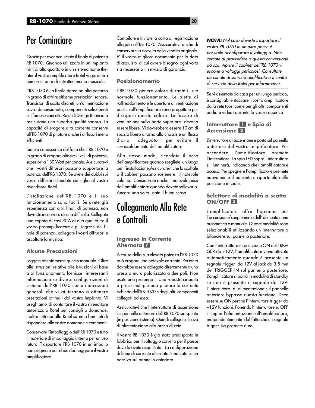# Per Cominciare

Grazie per aver acquistato il finale di potenza RB 1070. Quando utilizzato in un impianto hi-fi di alta qualità o in un sistema home theater il vostro amplificatore Rotel vi garantirà numerosi anni di intrattenimento musicale.

L'RB 1070 è un finale stereo ad alta potenza in grado di offrire altissme prestazioni sonore. Transistor di uscita discreti, un'alimentazione sovra dimensionata, componenti selezionati e il famoso concetto Rotel di Design Bilanciato assicurano una superba qualità sonora. La capacità di erogare alta corrente consente all'RB 1070 di pilotare anche i diffusori meno efficienti.

Siate a conoscenza del fatto che l'RB 1070 è in grado di erogare altissimi livelli di potenza, superiori a 130 Watt per canale. Assicuratevi che i vostri diffusori possano sopportare la potenza dell'RB 1070. Se avete dei dubbi sui vostri diffusori chiedete consiglio al vostro rivenditore Rotel.

L'istallazione dell'RB 1070 e il suo funzionamento sono facili. Se avete già esperienza con altri finali di potenza, non dovreste incontrare alcuna difficoltà. Collegate una coppia di cavi RCA di alta qualità tra il vostro preamplificatore e gli ingressi del finale di potenza, collegate i vostri diffusori e ascoltate la musica.

#### **Alcune Precauzioni**

Leggete attentamente questo manuale. Oltre alle istruzioni relative alle istruzioni di base a al funzionamento fornisce interessanti informazioni su diverse configurazioni di sistema dell'RB 1070 come indicazioni generali che vi aiuteranno a ottenere prestazioni ottimali dal vostro impianto. Vi preghiamo di contattare il vostro rivenditore autorizzato Rotel per consigli o domande. Inoltre tutti noi alla Rotel saremo ben lieti di rispondere alle vostre domande e commenti.

Conservate l'imballaggio dell'RB 1070 e tutto il materiale di imballaggio interno per un uso futuro. Trasportare l'RB 1070 in un imballo non originale potrebbe danneggiare il vostro amplificatore.

Compilate e inviate la carta di registrazione allegata all'RB 1070. Assicuratevi anche di conservare la ricevuta della vendita originale. E' il vostro migliore documento per la data di acquisto di cui avrete bisogno ogni volta sia necessario il servizio di garanzia.

#### **Posizionamento**

L'RB-1070 genera calore durante il suo normale funzionamento. Le alette di raffreddamento e le aperture di ventilazione poste sull'amplificatore sono progettate per dissipare questo calore. Le fessure di ventilazione sulla parte superiore devono essere libere. Vi dovrebbero essere 10 cm di spazio libero attorno allo chassis e un flusso d'aria adeguato per evitare il surriscaldamento dell'amplificatore.

Allo stesso modo, ricordate il peso dell'amplificatore quando scegliete un luogo per l'installazione.Assicuratevi che lo scaffale o il cabinet possano sostenere il notevole volume. Considerate anche il notevole peso dell'amplificatore quando dovete sollevarlo. Ancora una volta usate il buon senso.

# Collegamento Alla Rete e Controlli

#### **Ingresso In Corrente Alternata**

A causa della sua elevata potenza l'RB 1070 può erogare una notevole corrente. Pertanto dovrebbe essere collegato direttamente a una presa a muro polarizzata a due poli. Non usate una prolunga . Una robusta ciabatta a prese multiple può pilotare la corrente richiesta dall'RB 1070 e dagli altri componenti collegati ad essa.

Assicuratevi che l'interruttore di accensione sul pannello anteriore dell'RB 1070 sia spento (in posizione esterna). Quindi collegate il cavo di alimentazione alla presa di rete.

Il vostro RB 1070 è già stato predisposto in fabbrica per il voltaggio corretto per il paese dove lo avete acquistato. La configurazione di linea di corrente alternata è indicata su un adesivo sul pannello anteriore .

**NOTA:** Nel caso doveste trasportare il vostro RB 1070 in un altro paese è possibile riconfigurare il voltaggio. Non cercate di provvedere a questa conversione da soli. Aprire il cabinet dell'RB 1070 vi espone a voltaggi pericolosi. Consultate personale di servizio qualificato o il centro di servizio della Rotel per informazioni.

Se vi assentate da casa per un lungo periodo, è consigliabile staccare il vostro amplificatore dalla rete (così come per gli altri componenti audio e video) durante la vostra assenza.

#### **Interruttore Le Spia di Accensione**

L'interruttore di accensione è posto sul pannello anteriore del vostro amplificatore. Per accendere l'amplificatore premete l'interruttore. La spia LED sopra l'interruttore si illuminerà, indicando che l'amplificatore è acceso. Per spegnere l'amplificatore premete nuovamente il pulsante e riportatelo nella posizione iniziale.

#### **Selettore di modalità a scatto ON/OFF 5**

L'amplificatore offre l'opzione per l'accensione/spegnimento dell' alimentazione automatica o manuale. Queste modalità sono selezionabili utilizzando un interruttore a bilanciere sul pannello posteriore.

Con l'interruttore in posizione ON del TRIG-GER da +12V, l'amplificatore viene attivato automaticamente quando è presente un segnale trigger da 12V al jack da 3.5 mm del TRIGGER IN sul pannello posteriore. L'amplificatore si porrà in modalità di standby se non è presente il segnale da 12V. L'interruttore di alimentazione sul pannello anteriore bypassa questa funzione. Deve essere su ON perché l'interruttore trigger da +12V funzioni. Ponendo l'interruttore su OFF si toglie l'alimentazione all'amplificatore, indipendentemente dal fatto che un segnale trigger sia presente o no.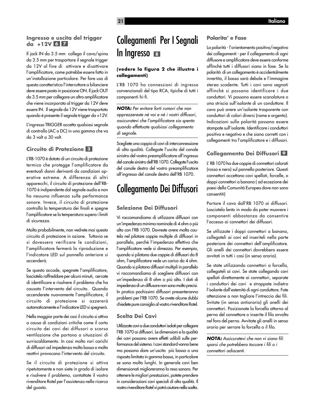#### **Ingresso e uscita del trigger da +12V**

Il jack IN da 3.5 mm collega il cavo/spina da 3.5 mm per trasportare il segnale trigger da 12V al fine di attivare e disattivare l'amplificatore, come potrebbe essere fatto in un'installazione particolare. Per fare uso di questa caratteristica l'interruttore a bilanciere deve essere posto in posizione ON. Il jack OUT da 3.5 mm per collegare un altro amplificatore che viene incorporato al trigger da 12V deve essere IN. Il segnale da 12V viene trasportato quando è presente il segnale trigger da +12V.

L'ingresso TRIGGER accetta qualsiasi segnale di controllo (AC o DC) in una gamma che va da 3 volt a 30 volt.

#### **Circuito di Protezione**

L'RB-1070 è dotato di un circuito di protezione termico che protegge l'amplificatore da eventuali danni derivanti da condizioni operative estreme. A differenza di altri apparecchi, il circuito di protezione dell'RB-1070 è indipendente dal segnale audio e non ha nessuna influenza sulle performance sonore. Invece, il circuito di protezione controlla la temperatura dei finali e spegne l'amplificatore se la temperatura supera i limiti di sicurezza.

Molto probabilmente, non vedrete mai questo circuito di protezione in azione. Tuttavia se si dovessero verificare le condizioni, l'amplificatore fermerà la riproduzione e l'indicatore LED sul pannello anteriore si accenderà.

Se questo accade, spegnete l'amplificatore, lasciatelo raffreddare per alcuni minuti, cercate di identificare e risolvere il problema che ha causato l'intervento del circuito. Quando accenderete nuovamente l'amplificatore, il circuito di protezione si azzererà automaticamente e l'indicatore LED si spegnerà.

Nella maggior parte dei casi il circuito si attiva a causa di condizioni critiche come il corto circuito dei cavi dei diffusori o scarsa ventilazione che portano a situazioni di surriscaldamento. In casi molto rari carichi di diffusori ad impedenza molto bassa o molto reattivi provocano l'intervento del circuito.

Se il circuito di protezione si attiva ripetutamente e non siete in grado di isolare e risolvere il problema, contattate il vostro rivenditore Rotel per l'assistenza nella ricerca del guasto.

# Collegamenti Per I Segnali In Ingresso

#### **(vedere la figura 2 che illustra i collegamenti)**

L'RB 1070 ha connessioni di ingresso convenzionali del tipo RCA, tipiche di tutti i componenti hi-fi.

**NOTA:** Per evitare forti rumori che non apprezzereste nè voi e nè i vostri diffusori, assicuratevi che l'amplificatore sia spento quando effettuate qualsiasi collegamento di segnale.

Scegliete una coppia di cavi di interconnessione di alta qualità. Collegate l'uscita del canale sinistro del vostro preamplificatore all'ingresso del canale sinistro dell'RB 1070. Collegate l'uscita del canale destro del vostro preamplificatore all'ingresso del canale destro dell'RB 1070.

# Collegamento Dei Diffusori

#### **Selezione Dei Diffusori**

Vi raccomandiamo di utilizzare diffusori con un'impedenza minima nominale di 4 ohm o più alta con l'RB 1070. Dovreste avere molta cautela nel pilotare coppie multiple di diffusori in parallelo, perchè l'impedenza effettiva che l'amplificatore vede si dimezza. Per esempio, quando si pilotano due coppie di diffusori da 8 ohm, l'amplificatore vede un carico da 4 ohm. Quando si pilotano diffusori multipli in parallelo vi raccomandiamo di scegliere diffusori con un'impedenza di 8 ohm o più alta. I dati di impedenza di un diffusore non sono molto precisi. In pratica pochissimi diffusori presenteranno problemi per l'RB 1070. Se avete alcune dubbi chiedete pure consiglio al vostro rivenditore Rotel.

#### **Scelta Dei Cavi**

Utilizzate cavi a due conduttori isolati per collegare l'RB 1070 ai diffusori. Le dimensioni e la qualità dei cavi possono avere effetti udibili sulle performance del sistema. I cavi standard vanno bene ma possono dare un'uscita più bassa o una risposta limitata in gamma bassa, in particolare se sono molto lunghi. In generale cavi ben dimensionati miglioreranno la resa sonora. Per ottenere le migliori prestazioni, potete prendere in considerazioni cavi speciali di alta qualità. Il vostro rivenditore Rotel vi potrà aiutare nella scelta.

#### **Polarita' e Fase**

La polarità - l'orientamento positivo/negativo dei collegamenti - per il collegamento di ogni diffusore e amplificatore deve essere conforme affinché tutti i diffusori siano in fase. Se la polarità di un collegamento è accidentalmente invertita, il basso sarà debole e l'immagine stereo scadente. Tutti i cavi sono segnati affinché si possano identificare i due conduttori. Vi possono essere scanalature o una striscia sull'isolante di un conduttore. Il cavo può avere un'isolante trasparente con conduttori di colori diversi (rame e argento). Indicazioni sulla polarità possono essere stampate sull'isolante. Identificare i conduttori positivo e negativo e che siano corretti con i collegamenti tra l'amplificatore e i diffusori.

#### **Collegamento Dei Diffusori**

L' RB 1070 ha due coppie di connettori colorati (rosso e nero) sul pannello posteriore. Questi connettori accettano cavi spellati, forcelle, o doppi connettori a banana ( ad eccezione dei paesi della Comunità Europea dove non sono consentiti)

Portare il cavo dall'RB 1070 ai diffusori. Lasciatelo lento in modo da poter muovere i componenti abbastanza da consentire l'accesso ai connettori dei diffusori.

Se utilizzate i doppi connettori a banana, collegateli ai cavi ed inseriteli nella parte posteriore dei connettori dell'amplificatore. Gli anelli dei connettori dovrebbero essere avvitati in tutti i casi (in senso orario).

Se state utilizzando connettori a forcella, collegateli ai cavi. Se state collegando cavi spellati direttamente ai connettori, separate i conduttori dei cavi e strappate indietro l'isolante dall'estemità di ogni conduttore. Fate attenzione a non tagliare l'intreccio dei fili. Svitate (in senso antiorario) gli anelli dei connettori. Posizionate la forcella attorno al perno del connettore o inserite il filo avvolto nel foro del perno. Avvitate gli anelli in senso orario per serrare la forcella o il filo.

**NOTA:** Assicuratevi che non vi siano fili sparsi che potrebbero toccare i fili o i connettori adiacenti.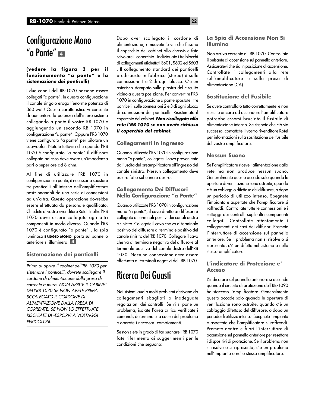# Configurazione Mono "a Ponte"

#### **(vedere la figura 3 per il funzionamento "a ponte" e la sistemazione dei ponticelli)**

I due canali dell'RB-1070 possono essere collegati "a ponte". In questa configurazione il canale singolo eroga l'enorme potenza di 360 watt! Questa caratteristica vi consente di aumentare la potenza dell'intero sistema collegando a ponte il vostro RB 1070 e aggiungendo un secondo RB 1070 in configurazione "a ponte". Oppure l'RB 1070 viene configurato "a ponte" per pilotare un subwoofer. Notate tuttavia che quando l'RB 1070 è configurato "a ponte" il diffusore collegato ad esso deve avere un'impedenza pari o superiore ad 8 ohm.

Al fine di utilizzare l'RB 1070 in configurazione a ponte, è necessario spostare tre ponticelli all'interno dell'amplificatore posizionandoli da una serie di connessioni ad un'altra. Questa operazione dovrebbe essere effettuata da personale qualificato. Chiedete al vostro rivenditore Rotel. Inoltre l'RB 1070 deve essere collegato agli altri componenti in modo diverso. Quando l'RB 1070 è configurato "a ponte" , la spia luminosa **BRIDGED MONO** posta sul pannello anteriore si illuminerà.<sup>4</sup>

#### **Sistemazione dei ponticelli**

Prima di aprire il cabinet dell'RB 1070 per sistemare i ponticelli, dovrete scollegare il cordone di alimentazione dalla presa di corrente a muro. NON APRITE IL CABINET DELL'RB 1070 SE NON AVETE PRIMA SCOLLEGATO IL CORDONE DI ALIMENTAZIONE DALLA PRESA DI CORRENTE. SE NON LO EFFETTUATE RISCHIATE DI -ESPORVI A VOLTAGGI PERICOLOSI.

Dopo aver scollegato il cordone di alimentazione, rimuovete le viti che fissano il coperchio del cabinet allo chassis e fate scivolare il coperchio . Individuate i tre blocchi di collegamenti etichettati S601, S602 ed S603 . Il collegamento standard dei ponticelli predisposto in fabbrica (stereo) è sulle connessioni 1 e 2 di ogni blocco. C'è un asterisco stampato sulla piastra del circuito vicino a questa posizione. Per convertire l'RB 1070 in configurazione a ponte spostate i tre ponticelli sulle connessioni 2 e 3 di ogni blocco di connessioni dei ponticelli. Risistemate il coperchio del cabinet. **Non ricollegate alla rete l'RB 1070 se non avete richiuso il coperchio del cabinet.**

#### **Collegamenti In Ingresso**

Quando utilizzate l'RB 1070 in configurazione mono "a ponte", collegate il cavo proveniente dall'uscita del preamplificatore all'ingresso del canale sinistro. Nessun collegamento deve essere fatto sul canale destro.

#### **Collegamento Dei Diffusori Nella Configurazione "a Ponte"**

Quando utilizzate l'RB 1070 in configurazione mono "a ponte", il cavo diretto ai diffusori è collegato ai terminali positivi dei canali destro e sinistro. Collegate il cavo che va al terminale positivo del diffusore al terminale positivo del canale sinistro dell'RB 1070. Collegate il cavo che va al terminale negativo del diffusore al terminale positivo del canale destro dell'RB 1070. Nessuna connessione deve essere effettuata ai terminali negativi dell'RB 1070.

# Ricerca Dei Guasti

Nei sistemi audio molti problemi derivano da collegamenti sbagliati o inadeguate regolazioni dei controlli. Se vi si pone un problema, isolate l'area critica verificate i comandi, determinate la causa del problema e operate i necessari cambiamenti.

Se non siete in grado di far suonare l'RB 1070 fate riferimento ai suggerimenti per le condizioni che seguono:

#### **La Spia di Accensione Non Si Illumina**

Non arriva corrente all'RB 1070. Controllate il pulsante di accensione sul pannello anteriore. Assicuratevi che sia in posizione di accensione. Controllate i collegamenti alla rete sull'amplificatore e sulla presa di alimentazione (CA)

#### **Sostituzione del Fusibile**

Se avete controllato tutto correttamente e non riuscite ancora ad accendere l'amplificatore potrebbe essersi bruciato il fusibile di alimentazione interno. Se ritenete che ciò sia successo, contattate il vostro rivenditore Rotel per informazioni sulla sostituzione del fusibile del vostro amplificatore.

#### **Nessun Suono**

Se l'amplificatore riceve l'alimentazione dalla rete ma non produce nessun suono. Generalmente questo accade solo quando le aperture di ventilazione sono ostruite, quando c'è un cablaggio difettoso del diffusore, o dopo un periodo di utilizzo intenso. Spegnete l'impianto e aspettate che l'amplificatore si raffreddi. Controllate tutte le connessioni e i settaggi dei controlli sugli altri componenti collegati. Controllate attentamente i collegamenti dei cavi dei diffusori Premete l'interruttore di accensione sul pannello anteriore. Se il problema non si risolve o si ripresenta, c'è un difetto nel sistema o nello stesso amplificatore.

#### **L'indicatore di Protezione e' Acceso**

L'indicatore sul pannello anteriore si accende quando il circuito di protezione dell'RB-1090 ha staccato l'amplificatore. Generalmente questo accade solo quando le aperture di ventilazione sono ostruite, quando c'è un cablaggio difettoso del diffusore, o dopo un periodo di utilizzo intenso. Spegnete l'impianto e aspettate che l'amplificatore si raffreddi. Premete dentro e fuori l'interruttore di accensione sul pannello anteriore per resettare i dispositivi di protezione. Se il problema non si risolve o si ripresenta, c'è un problema nell'impianto o nello stesso amplificatore.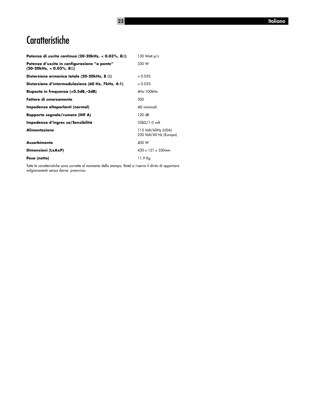# **Caratteristiche**

| Potenza di uscita continua (20-20kHz, < 0.03%, 8 $\Omega$ )                     | 130 Watt $p/c$                                 |
|---------------------------------------------------------------------------------|------------------------------------------------|
| Potenza d'uscita in configurazione "a ponte"<br>$(20-20kHz, < 0.03\%, 8\Omega)$ | 330 W                                          |
| Distorsione armonica totale (20-20kHz, 8 $\Omega$ )                             | $0.03\%$                                       |
| Distorsione d'intermodulazione (60 Hz, 7kHz, 4:1)                               | $0.03\%$                                       |
| Risposta in frequenza (+0.5dB,-3dB)                                             | $4Hz-100kHz$                                   |
| Fattore di smorzamento                                                          | 500                                            |
| Impedenza altoparlanti (normal)                                                 | $4\Omega$ nominali                             |
| Rapporto segnale/rumore (IHF A)                                                 | 120 dB                                         |
| Impedenza d'ingres so/Sensibilità                                               | $33k\Omega/1.0$ volt                           |
| <b>Alimentazione</b>                                                            | 115 Volt/60Hz (USA)<br>230 Volt/60 Hz (Europa) |
| <b>Assorbimento</b>                                                             | 400 W                                          |
| Dimensioni (LxAxP)                                                              | $430 \times 121 \times 350$ mm                 |
| Peso (netto)                                                                    | 11,9 Kg                                        |

Tutte le caratteristiche sono corrette al momento della stampa. Rotel si riserva il dirito di apportare milgioramenti senza darne preavviso.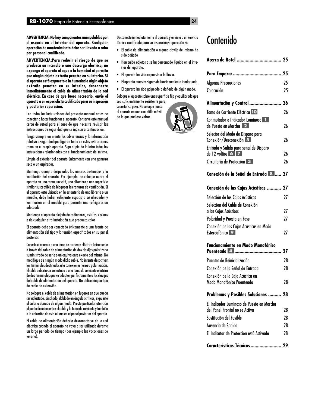#### **RB-1070** Etapa de Potencia Estereofónica

**ADVERTENCIA: No hay componentes manipulables por el usuario en el interior del aparato. Cualquier operación de mantenimiento debe ser llevada a cabo por personal cualificado.**

**ADVERTENCIA:Para reducir el riesgo de que se produzca un incendio o una descarga eléctrica, no exponga el aparato al agua o la humedad ni permita que ningún objeto extraño penetre en su interior. Si el aparato está expuesto a la humedad o algún objeto extraño penetra en su interior, desconecte inmediatamente el cable de alimentación de la red eléctrica. En caso de que fuera necesario, envíe el aparato a un especialista cualificado para su inspección y posterior reparación.**

Lea todas las instrucciones del presente manual antes de conectar o hacer funcionar el aparato. Conserve este manual cerca de usted para el caso de que necesite revisar las instrucciones de seguridad que se indican a continuación.

Tenga siempre en mente las advertencias y la información relativa a seguridad que figuran tanto en estas instrucciones como en el propio aparato. Siga al pie de la letra todas las instrucciones relacionadas con el funcionamiento del mismo.

Limpie el exterior del aparato únicamente con una gamuza seca o un aspirador.

Mantenga siempre despejadas las ranuras destinadas a la ventilación del aparato. Por ejemplo, no coloque nunca el aparato en una cama, un sofá, una alfombra o una superficie similar susceptible de bloquear las ranuras de ventilación. Si el aparato está ubicado en la estantería de una librería o un mueble, debe haber suficiente espacio a su alrededor y ventilación en el mueble para permitir una refrigeración adecuada.

Mantenga al aparato alejado de radiadores, estufas, cocinas o de cualquier otra instalación que produzca calor.

El aparato debe ser conectado únicamente a una fuente de alimentación del tipo y la tensión especificados en su panel posterior.

Conecte el aparato a una toma de corriente eléctrica únicamente a través del cable de alimentación de dos clavijas polarizado suministrado de serie o un equivalente exacto del mismo. No modifique de ningún modo dicho cable. No intente desactivar los terminales destinados a la conexión a tierra o polarización. El cable debería ser conectado a una toma de corriente eléctrica de dos terminales que se adapten perfectamente a las clavijas del cable de alimentación del aparato. No utilice ningún tipo de cable de extensión.

No coloque el cable de alimentación en lugares en que pueda ser aplastado, pinchado, doblado en ángulos críticos, expuesto al calor o dañado de algún modo. Preste particular atención al punto de unión entre el cable y la toma de corriente y también a la ubicación de esta última en el panel posterior del aparato.

El cable de alimentación debería desconectarse de la red eléctrica cuando el aparato no vaya a ser utilizado durante un largo período de tiempo (por ejemplo las vacaciones de verano).

Desconecte inmediatamente el aparato y envíelo a un servicio técnico cualificado para su inspección/reparación si:

- El cable de alimentación o alguna clavija del mismo ha sido dañado
- Han caído objetos o se ha derramado líquido en el interior del aparato.
- El aparato ha sido expuesto a la lluvia.
- El aparato muestra signos de funcionamiento inadecuado.
- El aparato ha sido golpeado o dañado de algún modo.

Coloque el aparato sobre una superficie fija y equilibrada que sea suficientemente resistente para

soportar su peso. No coloque nunca el aparato en una carretilla móvil

de la que pudiese volcar.



# Contenido

| Acerca de Rotel<br>25                                             |    |
|-------------------------------------------------------------------|----|
|                                                                   |    |
| <b>Algunas Precauciones</b>                                       | 25 |
| Colocación                                                        | 25 |
| Alimentación y Control                                            | 26 |
| Toma de Corriente Eléctrica 10                                    | 26 |
| Conmutador e Indicador Luminoso<br>de Puesta en Marcha 2          | 26 |
| Selector del Modo de Disparo para<br>Conexión/Desconexión 5       | 26 |
| Entrada y Salida para señal de Disparo<br>$de$ 12 voltios $6$ $7$ | 26 |
| Circuitería de Protección 3                                       | 26 |
| Conexión de la Señal de Entrada 8  27                             |    |
| Conexión de las Cajas Acústicas                                   | 27 |
| Selección de las Cajas Acústicas                                  | 27 |
| Selección del Cable de Conexión                                   |    |
| a las Cajas Acústicas                                             | 27 |
| Polaridad y Puesta en Fase                                        | 27 |
| Conexión de las Cajas Acústicas en Modo<br>Estereofónico 9        | 27 |
| Funcionamiento en Modo Monofónico                                 |    |
|                                                                   | 27 |
| Puentes de Reinicialización                                       | 28 |
| Conexión de la Señal de Entrada                                   | 28 |
| Conexión de la Caja Acústica en                                   |    |
| Modo Monofónico Puenteado                                         | 28 |
| Problemas y Posibles Soluciones  28                               |    |
| El Indicador Luminoso de Puesta en Marcha                         |    |
| del Panel Frontal no se Activa                                    | 28 |
| Sustitución del Fusible                                           | 28 |
| Ausencia de Sonido                                                | 28 |
| El Indicator de Proteccion está Activado                          | 28 |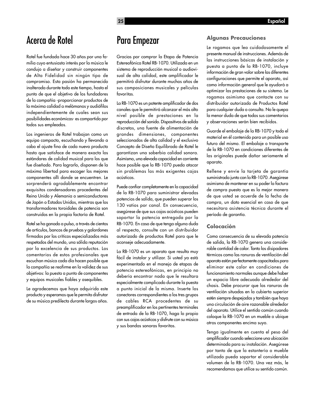# Acerca de Rotel

Rotel fue fundada hace 30 años por una familia cuyo entusiasta interés por la música le condujo a diseñar y construir componentes de Alta Fidelidad sin ningún tipo de compromiso. Esta pasión ha permanecido inalterada durante todo este tiempo, hasta el punto de que el objetivo de los fundadores de la compañía -proporcionar productos de la máxima calidad a melómanos y audiófilos independientemente de cuales sean sus posibilidades económicas- es compartido por todos sus empleados.

Los ingenieros de Rotel trabajan como un equipo compacto, escuchando y llevando a cabo el ajuste fino de cada nuevo producto hasta que satisface de manera exacta los estándares de calidad musical para los que fue diseñado. Para lograrlo, disponen de la máxima libertad para escoger los mejores componentes allí donde se encuentren. Le sorprenderá agradablemente encontrar exquisitos condensadores procedentes del Reino Unido y Alemania o semiconductores de Japón o Estados Unidos, mientras que los transformadores toroidales de potencia son construidos en la propia factoría de Rotel.

Rotel se ha ganado a pulso, a través de cientos de artículos, bancos de pruebas y galardones firmados por los críticos especializados más respetados del mundo, una sólida reputación por la excelencia de sus productos. Los comentarios de estos profesionales que escuchan música cada día hacen posible que la compañía se reafirme en la validez de sus objetivos: la puesta a punto de componentes y equipos musicales fiables y asequibles.

Le agradecemos que haya adquirido este producto y esperamos que le permita disfrutar de su música predilecta durante largos años.

### Para Empezar

Gracias por comprar la Etapa de Potencia Estereofónica Rotel RB-1070. Utilizada en un sistema de reproducción musical o audiovisual de alta calidad, este amplificador le permitirá disfrutar durante muchos años de sus composiciones musicales y películas favoritas.

La RB-1070 es un potente amplificador de dos canales que le permitirá alcanzar el más alto nivel posible de prestaciones en la reproducción del sonido. Dispositivos de salida discretos, una fuente de alimentación de grandes dimensiones, componentes seleccionados de alta calidad y el exclusivo Concepto de Diseño Equilibrado de Rotel le garantizan una soberbia calidad sonora. Asimismo, una elevada capacidad en corriente hace posible que la RB-1070 pueda atacar sin problemas las más exigentes cajas acústicas.

Puede confiar completamente en la capacidad de la RB-1070 para suministrar elevadas potencias de salida, que pueden superar los 130 vatios por canal. En consecuencia, asegúrese de que sus cajas acústicas pueden soportar la potencia entregada por la RB-1070. En caso de que tenga alguna duda al respecto, consulte con un distribuidor autorizado de productos Rotel para que le aconseje adecuadamente.

La RB-1070 es un aparato que resulta muy fácil de instalar y utilizar. Si usted ya está experimentado en el manejo de etapas de potencia estereofónicas, en principio no debería encontrar nada que le resultara especialmente complicado durante la puesta a punto inicial de la misma. Inserte los conectores correspondientes a los tres grupos de cables RCA procedentes de su preamplificador en los pertinentes terminales de entrada de la RB-1070, haga lo propio con sus cajas acústicas y disfrute con su música y sus bandas sonoras favoritas.

#### **Algunas Precauciones**

Le rogamos que lea cuidadosamente el presente manual de instrucciones. Además de las instrucciones básicas de instalación y puesta a punto de la RB-1070, incluye información de gran valor sobre las diferentes configuraciones que permite el aparato, así como información general que le ayudará a optimizar las prestaciones de su sistema. Le rogamos asimismo que contacte con su distribuidor autorizado de Productos Rotel para cualquier duda o consulta. No le quepa la menor duda de que todos sus comentarios y observaciones serán bien recibidos.

Guarde el embalaje de la RB-1070 y todo el material en él contenido para un posible uso futuro del mismo. El embalaje o transporte de la RB-1070 en condiciones diferentes de las originales puede dañar seriamente el aparato.

Rellene y envíe la tarjeta de garantía suministrada junto con la RB-1070. Asegúrese asimismo de mantener en su poder la factura de compra puesto que es la mejor manera de que usted se acuerde de la fecha de compra, un dato esencial en caso de que necesitara asistencia técnica durante el período de garantía.

#### **Colocación**

Como consecuencia de su elevada potencia de salida, la RB-1070 genera una considerable cantidad de calor. Tanto los disipadores térmicos como las ranuras de ventilación del aparato están perfectamente capacitados para eliminar este calor en condiciones de funcionamiento normales aunque debe haber un espacio libre adecuado alrededor del chasis. Debe procurar que las ranuras de ventilación situadas en la cubierta superior estén siempre despejadas y también que haya una circulación de aire razonable alrededor del aparato. Utilice el sentido común cuando coloque la RB-1070 en un mueble o ubique otros componentes encima suyo.

Tenga igualmente en cuenta el peso del amplificador cuando seleccione una ubicación determinada para su instalación. Asegúrese por tanto de que la estantería o mueble utilizado pueda soportar el considerable volumen de la RB-1070. Una vez más, le recomendamos que utilice su sentido común.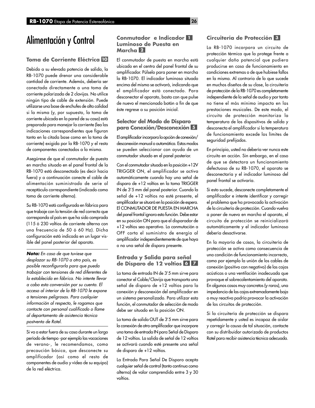#### **Toma de Corriente Eléctrica**

Debido a su elevada potencia de salida, la RB-1070 puede drenar una considerable cantidad de corriente. Además, debería ser conectada directamente a una toma de corriente polarizada de 2 clavijas. No utilice ningún tipo de cable de extensión. Puede utilizarse una base de enchufes de alta calidad si la misma (y, por supuesto, la toma de corriente ubicada en la pared de su casa) está preparada para manejar la corriente (lea las indicaciones correspondientes que figuran tanto en la citada base como en la toma de corriente) exigida por la RB-1070 y el resto de componentes conectados a la misma.

Asegúrese de que el conmutador de puesta en marcha situado en el panel frontal de la RB-1070 está desconectado (es decir hacia fuera) y a continuación conecte el cable de alimentación suministrado de serie al receptáculo correspondiente (indicado como toma de corriente alterna).

Su RB-1070 está configurada en fábrica para que trabaje con la tensión de red correcta que corresponda al país en que ha sido comprada (115 ó 230 voltios de corriente alterna con una frecuencia de 50 ó 60 Hz). Dicha configuración está indicada en un lugar visible del panel posterior del aparato.

**Nota:** En caso de que tuviese que desplazar su RB-1070 a otro país, es posible reconfigurarla para que pueda trabajar con tensiones de red diferentes de la establecida en fábrica. No intente llevar a cabo esta conversión por su cuenta. El acceso al interior de la RB-1070 le expone a tensiones peligrosas. Para cualquier información al respecto, le rogamos que contacte con personal cualificado o llame al departamento de asistencia técnica postventa de Rotel.

Si va a estar fuera de su casa durante un largo período de tiempo -por ejemplo las vacaciones de verano-, le recomendamos, como precaución básica, que desconecte su amplificador (así como el resto de componentes de audio y vídeo de su equipo) de la red eléctrica.

#### **Conmutador e Indicador Luminoso de Puesta en Marcha**

El conmutador de puesta en marcha está ubicado en el centro del panel frontal de su amplificador. Púlselo para poner en marcha la RB-1070. El indicador luminoso situado encima del mismo se activará, indicando que el amplificador está conectado. Para desconectar el aparato, basta con que pulse de nuevo el mencionado botón a fin de que éste regrese a su posición inicial.

#### **Selector del Modo de Disparo para Conexión/Desconexión**

El amplificador incorpora la opción de conexión/ desconexión manual o automática. Estos modos se pueden seleccionar con ayuda de un conmutador situado en el panel posterior.

Con el conmutador situado en la posición +12V TRIGGER ON, el amplificador se activa automáticamente cuando hay una señal de disparo de +12 voltios en la toma TRIGGER IN de 3'5 mm del panel posterior. Cuando la señal de +12 voltios no esté presente, el amplificador se situará en la posición de espera. El CONMUTADOR DE PUESTA EN MARCHA del panel frontal ignora esta función. Debe estar en su posición ON para que el disparador de +12 voltios sea operativo. La conmutación a OFF corta el suministro de energía al amplificador independientemente de que haya o no una señal de disparo presente.

#### **Entrada y Salida para señal de Disparo de 12 voltios**

La toma de entrada IN de 3'5 mm sirve para conectar el Cable/Clavija que transporta una señal de disparo de +12 voltios para la conexión y desconexión del amplificador en un sistema personalizado. Para utilizar esta función, el conmutador de selección de modo debe ser situado en la posición ON.

La toma de salida OUT de 3'5 mm sirve para la conexión de otro amplificador que incorpore una toma de entrada IN para Señal de Disparo de 12 voltios. La salida de señal de 12 voltios se activará cuando esté presente una señal de disparo de +12 voltios.

La Entrada Para Señal De Disparo acepta cualquier señal de control (tanto continua como alterna) de valor comprendido entre 3 y 30 voltios.

#### **Circuitería de Protección**

La RB-1070 incorpora un circuito de protección térmica que la protege frente a cualquier daño potencial que pudiera producirse en caso de funcionamiento en condiciones extremas o de que hubiese fallos en la misma. Al contrario de lo que sucede en muchos diseños de su clase, la circuitería de protección de la RB-1070 es completamente independiente de la señal de audio y por tanto no tiene el más mínimo impacto en las prestaciones musicales. De este modo, el circuito de protección monitoriza la temperatura de los dispositivos de salida y desconecta el amplificador si la temperatura de funcionamiento excede los límites de seguridad prefijados.

En principio, usted no debería ver nunca este circuito en acción. Sin embargo, en el caso de que se detectara un funcionamiento defectuoso de su RB-1070, el aparato se desconectaría y el indicador luminoso del panel frontal se activaría.

Si esto sucede, desconecte completamente el amplificador e intente identificar y corregir el problema que ha provocado la activación de la circuitería de protección. Cuando vuelva a poner de nuevo en marcha el aparato, el circuito de protección se reinicializará automáticamente y el indicador luminoso debería desactivarse.

En la mayoría de casos, la circuitería de protección se activa como consecuencia de una condición de funcionamiento incorrecto, como por ejemplo la unión de los cables de conexión (positivo con negativo) de las cajas acústicas o una ventilación inadecuada que provoque el sobrecalentamiento del aparato. En algunos casos muy concretos (y raros), una impedancia de las cajas extremadamente baja o muy reactiva podría provocar la activación de los circuitos de protección.

Si la circuitería de protección se dispara repetidamente y usted es incapaz de aislar y corregir la causa de tal situación, contacte con su distribuidor autorizado de productos Rotel para recibir asistencia técnica adecuada.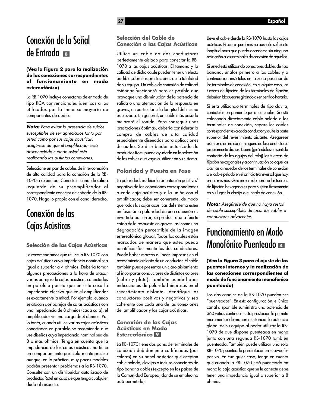# Conexión de la Señal de Entrada

#### **(Vea la Figura 2 para la realización de las conexiones correspondientes al funcionamiento en modo estereofónico)**

La RB-1070 incluye conectores de entrada de tipo RCA convencionales idénticos a los utilizados por la inmensa mayoría de componentes de audio.

**Nota:** Para evitar la presencia de ruidos susceptibles de ser apreciados tanto por usted como por sus cajas acústicas, asegúrese de que el amplificador está desconectado cuando usted esté realizando las distintas conexiones.

Seleccione un par de cables de interconexión de alta calidad para la conexión de la RB-1070 a su equipo. Conecte el canal de salida izquierdo de su preamplificador al correspondiente conector de entrada de la RB-1070. Haga lo propio con el canal derecho.

# Conexión de las Cajas Acústicas

#### **Selección de las Cajas Acústicas**

Le recomendamos que utilice la RB-1070 con cajas acústicas cuya impedancia nominal sea igual o superior a 4 ohmios. Debería tomar algunas precauciones a la hora de atacar varias parejas de cajas acústicas conectadas en paralelo puesto que en este caso la impedancia efectiva que ve el amplificador es exactamente la mitad. Por ejemplo, cuando se atacan dos parejas de cajas acústicas con una impedancia de 8 ohmios (cada caja), el amplificador ve una carga de 4 ohmios. Por lo tanto, cuando utilice varias cajas acústicas conectadas en paralelo se recomienda que use diseños cuya impedancia nominal sea de 8 o más ohmios. Tenga en cuenta que la impedancia de las cajas acústicas no tiene un comportamiento particularmente preciso aunque, en la práctica, muy pocos modelos podrán presentar problemas a la RB-1070. Consulte con un distribuidor autorizado de productos Rotel en caso de que tenga cualquier duda al respecto.

#### **Selección del Cable de Conexión a las Cajas Acústicas**

Utilice un cable de dos conductores perfectamente aislado para conectar la RB-1070 a las cajas acústicas. El tamaño y la calidad de dicho cable pueden tener un efecto audible sobre las prestaciones de la totalidad de su equipo. Un cable de conexión de calidad estándar funcionará pero es posible que provoque una disminución de la potencia de salida o una atenuación de la respuesta en graves, en particular si la longitud del mismo es elevada. En general, un cable más pesado mejorará el sonido. Para conseguir unas prestaciones óptimas, debería considerar la compra de cables de alta calidad especialmente diseñados para aplicaciones de audio. Su distribuidor autorizado de productos Rotel puede ayudarle en la selección de los cables que vaya a utilizar en su sistema.

#### **Polaridad y Puesta en Fase**

La polaridad, es decir la orientación positiva/ negativa de las conexiones correspondientes a cada caja acústica y a la unión con el amplificador, debe ser coherente, de modo que todas las cajas acústicas del sistema estén en fase. Si la polaridad de una conexión es invertida por error, se producirá una fuerte caída de la respuesta en graves, así como una degradación perceptible de la imagen estereofónica global. Todos los cables están marcados de manera que usted pueda identificar fácilmente los dos conductores. Puede haber marcas o líneas impresas en el revestimiento aislante de un conductor. El cable también puede presentar un claro aislamiento al incorporar conductores de distintos colores (cobre y plata). También puede haber indicaciones de polaridad impresas en el revestimiento aislante. Identifique los conductores positivos y negativos y sea coherente con cada una de las conexiones del amplificador y las cajas acústicas.

#### **Conexión de las Cajas Acústicas en Modo Estereofónico**

La RB-1070 tiene dos pares de terminales de conexión debidamente codificados (por colores) en su panel posterior que aceptan cable pelado, clavijas o incluso conectores de tipo banana dobles (excepto en los países de la Comunidad Europea, donde su empleo no está permitido).

Lleve el cable desde la RB-1070 hasta las cajas acústicas. Procure que el mismo posea la suficiente longitud para que pueda accederse sin ninguna restricción a los terminales de conexión de aquéllas.

Si usted está utilizando conectores dobles de tipo banana, únalos primero a los cables y a continuación insértelos en la zona posterior de los terminales de conexión. En cualquier caso, las tuercas de fijación de los terminales de fijación deberían bloquearse girándolas en sentido horario.

Si está utilizando terminales de tipo clavija, conéctelos en primer lugar a los cables. Si está colocando directamente cable pelado a los terminales de conexión, separe los cables correspondientes a cada conductor y quite la parte superior del revestimiento aislante. Asegúrese asímismo de no cortar ninguno de los conductores propiamente dichos. Libere (girándolas en sentido contrario de las agujas del reloj) las tuercas de fijación hexagonales y a continuación coloque las clavijas alrededor de los terminales de conexión o el cable pelado en el orificio transversal que hay en los mismos. Gire en sentido horario las tuercas de fijación hexagonales para sujetar firmemente en su lugar la clavija o el cable de conexión.

**Nota:** Asegúrese de que no haya restos de cable susceptibles de tocar los cables o conductores adyacentes.

# Funcionamiento en Modo Monofónico Puenteado

#### **(Vea la Figura 3 para el ajuste de los puentes internos y la realización de las conexiones correspondientes al modo de funcionamiento monofónico puenteado)**

Los dos canales de la RB-1070 pueden ser "puenteados". En esta configuración, el único canal disponible suministra una potencia de 360 vatios continuos. Esta prestación le permite incrementar de manera sustancial la potencia global de su equipo al poder utilizar la RB-1070 de que dispone puenteada en mono junto con una segunda RB-1070 también puenteada. También puede utilizar una sola RB-1070 puenteada para atacar un subwoofer pasivo. En cualquier caso, tenga en cuenta que cuando la RB-1070 está puenteada en mono la caja acústica que se le conecte debe tener una impedancia igual o superior a 8 ohmios.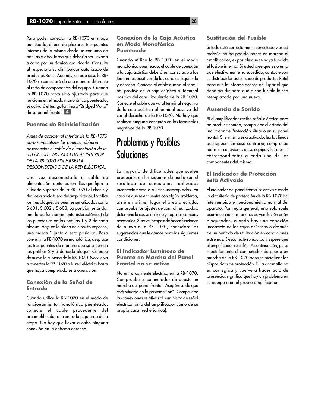Para poder conectar la RB-1070 en modo puenteado, deben desplazarse tres puentes internos de la misma desde un conjunto de patillas a otro, tarea que debería ser llevada a cabo por un técnico cualificado. Consulte al respecto a su distribuidor autorizado de productos Rotel. Además, en este caso la RB-1070 se conectará de una manera diferente al resto de componentes del equipo. Cuando la RB-1070 haya sido ajustada para que funcione en el modo monofónico puenteado, se activará el testigo luminoso "Bridged Mono" de su panel frontal.<sup>4</sup>

#### **Puentes de Reinicialización**

Antes de acceder al interior de la RB-1070 para reinicializar los puentes, debería desconectar el cable de alimentación de la red eléctrica. NO ACCEDA AL INTERIOR DE LA RB-1070 SIN HABERLA DESCONECTADO DE LA RED ELÉCTRICA.

Una vez desconectado el cable de alimentación, quite los tornillos que fijan la cubierta superior de la RB-1070 al chasis y deslícela hacia fuera del amplificador. Localice los tres bloques de puentes señalizados como S 601, S 602 y S 603. La posición estándar (modo de funcionamiento estereofónico) de los puentes es en las patillas 1 y 2 de cada bloque. Hay, en la placa de circuito impreso, una marca \* junto a esta posición. Para convertir la RB-1070 en monofónica, desplace los tres puentes de manera que se sitúen en las patillas 2 y 3 de cada bloque. Coloque de nuevo la cubierta de la RB-1070. No vuelva a conectar la RB-1070 a la red eléctrica hasta que haya completado esta operación.

#### **Conexión de la Señal de Entrada**

Cuando utilice la RB-1070 en el modo de funcionamiento monofónico puenteado, conecte el cable procedente del preamplificador a la entrada izquierda de la etapa. No hay que llevar a cabo ninguna conexión en la entrada derecha.

#### **Conexión de la Caja Acústica en Modo Monofónico Puenteado**

Cuando utilice la RB-1070 en el modo monofónico puenteado, el cable de conexión a la caja acústica deberá ser conectado a los terminales positivos de los canales izquierdo y derecho. Conecte el cable que va al terminal positivo de la caja acústica al terminal positivo del canal izquierdo de la RB-1070. Conecte el cable que va al terminal negativo de la caja acústica al terminal positivo del canal derecho de la RB-1070. No hay que realizar ninguna conexión en los terminales negativos de la RB-1070

# Problemas y Posibles **Soluciones**

La mayoría de dificultades que suelen producirse en los sistemas de audio son el resultado de conexiones realizadas incorrectamente o ajustes inapropiados. En caso de que se encuentre con algún problema, aísle en primer lugar el área afectada, compruebe los ajustes de control realizados, determine la causa del fallo y haga los cambios necesarios. Si se ve incapaz de hacer funcionar de nuevo a la RB-1070, considere las sugerencias que le damos para las siguientes condiciones:

#### **El Indicador Luminoso de Puenta en Marcha del Panel Frontal no se activa**

No entra corriente eléctrica en la RB-1070. Compruebe el conmutador de puesta en marcha del panel frontal. Asegúrese de que está situado en la posición "on". Compruebe las conexiones relativas al suministro de señal eléctrica tanto del amplificador como de su propia casa (red eléctrica).

#### **Sustitución del Fusible**

Si todo está correctamente conectado y usted todavía no ha podido poner en marcha el amplificador, es posible que se haya fundido el fusible interno. Si usted cree que esto es lo que efectivamente ha sucedido, contacte con su distribuidor autorizado de productos Rotel para que le informe acerca del lugar al que debe acudir para que dicho fusible le sea reemplazado por uno nuevo.

#### **Ausencia de Sonido**

Si el amplificador recibe señal eléctrica pero no produce sonido, compruebe el estado del indicador de Protección situado en su panel frontal. Si el mismo está activado, lea las líneas que siguen. En caso contrario, compruebe todas las conexiones de su equipo y los ajustes correspondientes a cada uno de los componentes del mismo.

#### **El Indicador de Protección está Activado**

El indicador del panel frontal se activa cuando la circuitería de protección de la RB-1070 ha interrumpido el funcionamiento normal del aparato. Por regla general, esto solo suele ocurrir cuando las ranuras de ventilación están bloqueadas, cuando hay una conexión incorrecta de las cajas acústicas o después de un período de utilización en condiciones extremas. Desconecte su equipo y espere que el amplificador se enfríe. A continuación, pulse repetidamente el conmutador de puesta en marcha de la RB-1070 para reinicializar los dispositivos de protección. Si la anomalía no es corregida y vuelve a hacer acto de presencia, significa que hay un problema en su equipo o en el propio amplificador.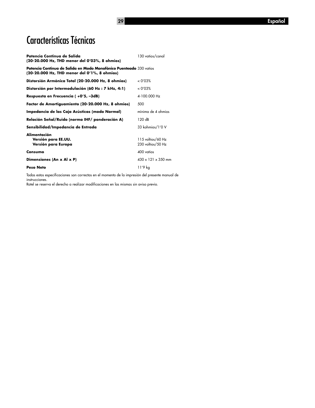| Potencia Continua de Salida<br>(20-20.000 Hz, THD menor del 0'03%, 8 ohmios)                                        | 130 vatios/canal                       |
|---------------------------------------------------------------------------------------------------------------------|----------------------------------------|
| Potencia Continua de Salida en Modo Monofónico Puenteado 330 vatios<br>(20-20.000 Hz, THD menor del 0'1%, 8 ohmios) |                                        |
| Distorsión Armónica Total (20-20.000 Hz, 8 ohmios)                                                                  | $< 0.03\%$                             |
| Distorsión por Intermodulación (60 Hz : 7 kHz, 4:1)                                                                 | $< 0.03\%$                             |
| Respuesta en Frecuencia (+0'5,-3dB)                                                                                 | 4-100.000 Hz                           |
| Factor de Amortiguamiento (20-20.000 Hz, 8 ohmios)                                                                  | 500                                    |
| Impedancia de las Caja Acústicas (modo Normal)                                                                      | mínima de 4 ohmios                     |
| Relación Señal/Ruido (norma IHF/ ponderación A)                                                                     | 120dB                                  |
| Sensibilidad/Impedancia de Entrada                                                                                  | 33 kohmios/1'0 V                       |
| Alimentación<br>Versión para EE.UU.<br>Versión para Europa                                                          | 115 voltios/60 Hz<br>230 voltios/50 Hz |
| Consumo                                                                                                             | 400 vatios                             |
| Dimensiones (An $x$ Al $x$ P)                                                                                       | $430 \times 121 \times 350$ mm         |
| Peso Neto                                                                                                           | 11'9 kg                                |

Todas estas especificaciones son correctas en el momento de la impresión del presente manual de instrucciones.

Rotel se reserva el derecho a realizar modificaciones en las mismas sin aviso previo.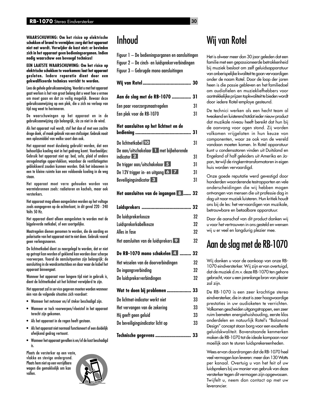#### **RB-1070** Stereo Eindversterker

**WAARSCHUWING: Om het risico op elektrische schokken of brand te vermijden: zorg dat het apparaat niet nat wordt. Verwijder de kast niet: er bevinden zich in het apparaat geen bedieningsorganen. Indien nodig waarschuw een bevoegd technicus!**

**EEN LAATSTE WAARSCHUWING: Om het risico op elektrische schokken te voorkomen: laat het apparaat gesloten. Iedere reparatie dient door een gekwalificeerde technicus verricht te worden.**

Lees de gehele gebruiksaanwijzing. Voordat u met het apparaat gaat werken is het van groot belang dat u weet hoe u ermee om moet gaan en dat zo veilig mogelijk. Bewaar deze gebruiksaanwijzing op een plek, die u zich na verloop van tijd nog weet te herinneren.

De waarschuwingen op het apparaat en in de gebruiksaanwijzing zijn belangrijk, sla ze niet in de wind.

Als het apparaat vuil wordt, stof het dan af met een zachte droge doek, of maak gebruik van een stofzuiger. Gebruik nooit een oplosmiddel van welke soort dan ook.

Het apparaat moet dusdanig gebruikt worden, dat een behoorlijke koeling niet in het gedrang komt. Voorbeeldjes: Gebruik het apparaat niet op: bed, sofa, plaid of andere onregelmatige oppervlakken, waardoor de ventilatiegaten geblokkeerd zouden kunnen worden. Ook het inbouwen in een te kleine ruimte kan een voldoende koeling in de weg staan.

Het apparaat moet verre gehouden worden van warmtebronnen zoals: radiatoren en kachels, maar ook versterkers.

Het apparaat mag alleen aangesloten worden op het voltage zoals aangegeven op de achterkant, in dit geval 220 - 240 Volts 50 Hz.

Het apparaat dient alleen aangesloten te worden met de bijgeleverde netkabel, of een soortgelijke.

Maatregelen dienen genomen te worden, die de aarding en polarisatie van het apparaat niet te niet doen. Gebruik vooral geen verlengsnoeren.

De lichtnetkabel dient zo neergelegd te worden, dat er niet op getrapt kan worden of geklemd kan worden door scherpe voorwerpen. Vooral de aansluitpunten zijn belangrijk: de aansluiting in de wandcontactdoos en daar waar de kabel het apparaat binnengaat.

Wanneer het apparaat voor langere tijd niet in gebruik is, dient de lichtnetkabel uit het lichtnet verwijderd te zijn.

Het apparaat zal in service gegeven moeten worden wanneer één van de volgende situaties zich voordoet:

- Wanneer het netsnoer en/of steker beschadigd zijn.
- Wanneer er toch voorwerpen/vloeistof in het apparaat terecht zijn gekomen.
- Als het apparaat in de regen heeft gestaan.
- Als het apparaat niet normaal functioneert of een duidelijk afwijkend gedrag vertoont.
- Wanneer het apparaat gevallen is en/of de kast beschadigd is.

Plaats de versterker op een vaste, vlakke en stevige ondergrond. Plaats hem niet op een verrijdbare wagen die gemakkelijk om kan vallen.



# Inhoud

Figuur 1 – De bedieningsorganen en aansluitingen Figuur 2 – De cinch- en luidsprekerverbindingen Figuur 3 – Gebrugde mono aansluitingen

| Aan de slag met de RB-1070  31                                    |    |
|-------------------------------------------------------------------|----|
| Een paar voorzorgsmaatregelen                                     | 31 |
| Een plek voor de RB-1070                                          | 31 |
| Het aansluiten op het lichtnet en de                              | 31 |
| De lichtnetkabel 10                                               | 31 |
| De aan/uitschakelaar 1 met bijbehorende<br>indicator <sup>2</sup> | 31 |
| De trigger aan/vitschakelaar 5                                    | 31 |
| De 12V trigger in- en uitgang 6 7                                 | 31 |
| <b>Beveiligingsindicator</b> 3                                    | 31 |
| Het aansluiten van de ingangen 8  32                              |    |
|                                                                   |    |
| De luidsprekerkeuze                                               | 32 |
| Luidsprekerkabelkeuze                                             | 32 |
| Alles in fase                                                     | 32 |
| Het aansluiten van de luidsprekers 9                              | 32 |
| De RB-1070 mono schakelen 4                                       | 32 |
| Het wisselen van de doorverbindingen                              | 32 |
| De ingangsverbinding                                              | 32 |
| De luidsprekerverbindingen                                        | 32 |
| Wat te doen bij problemen                                         | 33 |
| De lichtnet-indicator werkt niet                                  | 33 |
| Het vervangen van de zekering                                     | 33 |
| Hij geeft geen geluid                                             | 33 |
| De beveiligingsindicator licht op                                 | 33 |
|                                                                   |    |

**Technische gegevens ............................ 33**

# Wij van Rotel

Het is alweer meer dan 30 jaar geleden dat een familie met een gepassioneerde betrokkenheid bij muziek besloot om zelf geluidsapparatuur van onberispelijke kwaliteit te gaan vervaardigen onder de naam Rotel. Door de loop der jaren heen is die passie gebleven en het familiedoel om audiofielen en muziekliefhebbers voor aantrekkelijke prijzen topkwaliteit te bieden wordt door iedere Rotel-employe gesteund.

De technici werken als een hecht team al tweakend en luisterend totdat ieder nieuw product dat muzikale niveau heeft bereikt dat hun bij de aanvang voor ogen stond. Zij worden volkomen vrijgelaten in hun keuze van componenten, waar ze ook van de wereld vandaan moeten komen. In Rotel apparatuur kunt u condensatoren vinden uit Duitsland en Engeland of half geleiders uit Amerika en Japan, terwijl de ringkerntransformatoren in eigen huis worden vervaardigd.

Onze goede reputatie werd gevestigd door honderden waarderende testrapporten en vele onderscheidingen die wij hebben mogen ontvangen van mensen die uit professie dag in dag uit naar muziek luisteren. Hun kritiek houdt ons bij de les: het vervaardigen van muzikale, betrouwbare en betaalbare apparatuur.

Door de aanschaf van dit product danken wij u voor het vertrouwen in ons gesteld en wensen wij u er veel en langdurig plezier mee.

# Aan de slag met de RB-1070

Wij danken u voor de aankoop van onze RB-1070 eindversterker. Wij zijn ervan overtuigd, dat de muziek d.m.v. deze RB-1070 ten gehore gebracht, voor u een jarenlange bron van plezier zal zijn.

De RB-1070 is een zeer krachtige stereo eindversterker, die in staat is zeer hoogwaardige prestaties in uw audioketen te verrichten. Volkomen gescheiden uitgangstrappen, een zeer ruim bemeten energiehuishouding, eerste klas onderdelen en natuurlijk Rotel's "Balanced Design" concept staan borg voor een excellente geluidskwaliteit. Bovenstaande kenmerken maken de RB-1070 tot de ideale kompaan voor moeilijk aan te sturen luidsprekereenheden.

Wees ervan doordrongen dat de RB-1070 heel veel vermogen kan leveren: meer dan 130 Watts per kanaal. Overtuig u van het feit of uw luidsprekers bij uw manier van gebruik van deze versterker tegen dit vermogen zijn opgewassen. Twijfelt u, neem dan contact op met uw leverancier.

30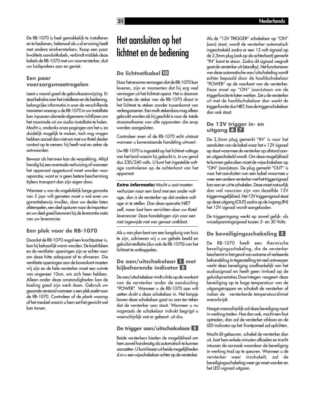De RB-1070 is heel gemakkelijk te installeren en te bedienen, helemaal als u al ervaring heeft met andere eindversterkers. Koop een paar kwaliteits aansluitkabels, verbindt middels deze kabels de RB-1070 met uw voorversterker, sluit uw luidsprekers aan en geniet.

#### **Een paar voorzorgsmaatregelen**

Leest u vooral goed de gebruiksaanwijzing. Er staat behalve over het installeren en de bediening, belangrijke informatie in over de verschillende manieren waarop u de RB-1070 in uw installatie kan inpassen alsmede algemene richtlijnen om het maximale uit uw audio-installatie te halen. Mocht u, ondanks onze pogingen om het u zo duidelijk mogelijk te maken, toch nog vragen hebben aarzel dan niet om met uw Rotel dealer contact op te nemen: hij heeft vast en zeker de antwoorden.

Bewaar als het even kan de verpakking. Altijd handig bij een eventuele verhuizing of wanneer het apparaat opgestuurd moet worden voor reparatie, want er is geen betere bescherming tijdens transport dan zijn eigen doos.

Wanneer u van de ongelofelijk lange garantie van 5 jaar wilt genieten moet u wel even uw garantiebewijs invullen, door uw dealer laten afstempelen, een deel opsturen naar de importeur en uw deel goed bewaren bij de leverantie-nota van uw leverancier.

#### **Een plek voor de RB-1070**

Doordat de RB-1070 nogal een krachtpatser is, kan hij behoorlijk warm worden. De koelribben en de ventilatie- openingen zijn er echter voor om deze hitte adequaat af te afvoeren. Die ventilatie-openingen aan de bovenkant moeten vrij zijn en de hele versterker moet een ruimte van ongeveer 10cm. om zich heen hebben. Alleen onder deze omstandigheden kan de koeling goed zijn werk doen. Gebruik uw gezonde verstand wanneer u een plek zoekt voor de RB-1070. Controleer of de plank waarop of het meubel waarin u hem zet het gewicht wel kan torsen.

# Het aansluiten op het lichtnet en de bediening

#### **De lichtnetkabel**

Door het enorme vermogen dat de RB-1070 kan leveren, zijn er momenten dat hij erg veel vermogen uit het lichtnet opeist. Het is daarom het beste de steker van de RB-1070 direct in het lichtnet te steken zonder tussenkomst van verlengsnoeren. Een multi stekerdoos mag alleen gebruikt worden als hij geschikt is voor de totale stroomafname van alle apparaten die erop worden aangesloten.

Controleer even of de RB-1070 echt uitstaat wanneer u bovenstaande handeling uitvoert.

Uw RB-1070 is ingesteld op het lichtnet-voltage van het land waarin hij gekocht is. In uw geval dus 230/240 volts. U kunt het ingestelde voltage controleren op de achterkant van het apparaat.

**Extra informatie:** Mocht u ooit moeten verhuizen naar een land met een ander voltage, dan is de versterker op dat andere voltage in te stellen. Doe deze operatie NIET zelf, maar laat hem verrichten door uw Rotel leverancier. Deze handelingen zijn voor een niet ingewijde niet van gevaar ontbloot.

Als u van plan bent om een langdurig van huis te zijn, adviseren wij u uw gehele beeld en geluidsinstallatie (dus ook de RB-1070) van het lichtnet te ontkoppelen.

#### **De aan/uitschakelaar 1 met bijbehorende indicator**

De aan/uitschakelaar vindt u links op de voorkant van de versterker onder de aanduiding "POWER". Wanneer u de RB-1070 aan wilt zetten drukt u deze schakelaar in. Het lampje boven deze schakelaar gaat nu aan ten teken dat de versterker aan staat. Wanneer u nu nogmaals de schakelaar indrukt begrijpt u waarschijnlijk wat er gebeurt: uit dus.

#### **De trigger aan/uitschakelaar**

Beide versterkers bieden de mogelijkheid om hem zowel handmatig als automatisch te kunnen aanzetten. U kunt kiezen uit beide mogelijkheden d.m.v. een wipschakelaar achter op de versterker.

Als de "12V TRIGGER" schakelaar op "ON" (aan) staat, wordt de versterker automatisch ingeschakeld zodra er een 12 volt signaal op de 3,5mm plug (ook op de achterkant) gemerkt "IN" komt te staan. Zodra dit signaal wegvalt gaat de versterker uit (standby). Het functioneren van deze automatische aan/uitschakeling wordt echter bepaald door de hoofdschakelaar "POWER" op de voorkant van de versterker. Deze moet op "ON" (aan)staan om de triggerfunctie te laten werken. Zet u de versterker uit met de hoofdschakelaar dan werkt de triggerfunctie dus NIET, hoe de triggerschakelaar dan ook staat.

#### **De 12V trigger in- en uitgang 6** 7

De 3,5mm plug gemerkt "IN" is voor het aansluiten van de kabel waar het + 12V signaal op staat waarmee de versterker op afstand aanen uitgeschakeld wordt. Om deze mogelijkheid te kunnen gebruiken moet de wipschakelaar op "ON" (aan)staan. De plug gemerkt "OUT" is voor het aansluiten van een kabel waarmee u weer een andere versterker met het triggersignaal kan aan en uit te schakelen. Deze moet natuurlijk dan wel voorzien zijn van dezelfde 12V triggermogelijkheid. Het 12V triggersignaal staat op deze uitgang (OUT) zodra op de ingang (IN) het 12V signaal wordt aangeboden.

De triggeringang werkt op zowel gelijk- als wisselspanningsignaal tussen 3- en 30 Volts.

#### **De beveiligingsschakeling**

De RB-1070 heeft een thermische beveiligingsschakeling, die de versterker beschermt in het geval van extreme of verkeerde behandeling.In tegenstelling tot veel ontwerpen werkt deze beveiliging onafhankelijk van het audiosignaal en heeft geen invloed op de geluidsprestaties.Daarintegen reageert deze beveiliging op te hoge temperatuur van de uitgangstrappen en schakelt de versterker af indien de versterkerde temperatuurslimiet overschrijdt.

Hoogst waarschijnlijk zal deze beveiliging nooit in werking treden. Hoe dan ook, mocht een fout optreden, dan zal de versterker afslaan en de LED-indicator op het frontpaneel zal oplichten.

Mocht dit gebeuren, schakel de versterker dan uit, laat hem enkele minuten afkoelen en tracht intussen de oorzaak waardoor de beveiliging in werking trad op te speuren. Wanneer u de versterker weer inschakelt, zal de beveiligingsschakeling weer ge-reset worden en het LED-signaal uitgaan.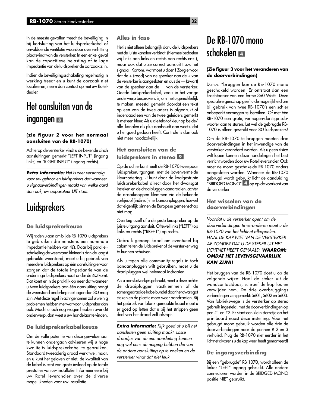In de meeste gevallen treedt de beveiliging in bij kortsluiting van het luidsprekerkabel of onvoldoende ventilatie waardoor oververhitting plaatsvindt van de versterker. In een enkel geval kan de capacitieve belasting of te lage impedantie van de luidspreker de oorzaak zijn.

Indien de beveiligingsschakeling regelmatig in werking treedt en u kunt de oorzaak niet localiseren, neem dan contact op met uw Roteldealer.

# Het aansluiten van de **ingangen**

#### **(zie figuur 2 voor het normaal aansluiten van de RB-1070)**

Achterop de versterker vindt u de bekende cinch aansluitingen gemerkt "LEFT INPUT" (ingang links) en "RIGHT INPUT" (ingang rechts).

**Extra informatie:** Het is zeer verstandig voor uw gehoor en luidsprekers dat wanneer u signaalverbindingen maakt van welke aard dan ook, uw apparatuur UIT staat.

# Luidsprekers

#### **De luidsprekerkeuze**

Wij raden u aan om bij de RB-1070 luidsprekers te gebruiken die minstens een nominale impedantie hebben van 4Ω. Daar bij parallelschakeling de weerstand kleiner is dan de laagst gebruikte weerstand, moet u bij gebruik van meerdere luidsprekers op één aansluiting ervoor zorgen dat de totale impedantie van de onderlinge luidsprekers nooit onder de 4Ω komt. Dat komt er in de praktijk op neer dat wanneer u twee luidsprekers aan één aansluiting hangt de weerstand onderling niet lager dan 8Ω mag zijn. Met deze regel in acht genomen zal u weinig problemen hebben met wat voor luidspreker dan ook. Mocht u toch nog vragen hebben over dit onderwerp, dan weet u uw handelaar te vinden.

#### **De luidsprekerkabelkeuze**

Om de volle potentie van deze geweldenaar te kunnen ondergaan adviseren wij u hoge kwaliteits luidsprekerkabel te gebruiken. Standaard tweeaderig draad werkt wel, maar, en u kunt het geloven of niet, de kwaliteit van de kabel is echt van grote invloed op de totale prestaties van uw installatie. Informeer eens bij uw Rotel leverancier over de diverse mogelijkheden voor uw installatie.

#### **Alles in fase**

Het is niet alleen belangrijk dat u de luidsprekers met de juiste kanalen verbindt, (hiermee bedoelen wij links aan links en rechts aan rechts enz.), maar ook dat u ze correct aansluit t.o.v. het signaal. Kortom, wat moet u doen? Zorg ervoor dat de + (rood) van de speaker aan de + van de versterker is aangesloten en dus de — (zwart) van de speaker aan de — van de versterker. Goede luidsprekerkabel, zoals in het vorige onderwerp besproken, is, om het u gemakkelijk te maken, meestal gemerkt doordat een tekst op een van de twee aders is afgedrukt of inderdaad een van de twee geleiders gemerkt is met een kleur. Als u die tekst of kleur op beide/ alle kanalen als plus aanhoudt dan weet u dat u het goed gedaan heeft. Controle is dan ook niet meer noodzakelijk.

#### **Het aansluiten van de luidsprekers in stereo**

Op de achterkant heeft de RB-1070 twee paar luidsprekeruitgangen, met de bovenvermelde kleurcodering. U kunt daar de kaalgestripte luidsprekerkabel direct door het dwarsgat insteken en de draaipluggen aandraaien, achter de draaiknoppen klemmen via de bekende vorkjes of (indirect) met banaanpluggen, hoewel dat eigenlijk binnen de Europese gemeenschap niet mag.

Overtuig uzelf of u de juiste luidspreker op de juiste uitgang aansluit. Oftewel links ("LEFT") op links en rechts ("RIGHT") op rechts.

Gebruik genoeg kabel om eventueel bij calamiteiten de luidspreker of de versterker weg te kunnen schuiven.

Als u tegen alle community-regels in toch banaanpluggen wilt gebruiken, moet u de draaipluggen wel helemaal indraaien.

Als u aansluitvorkjes gebruikt, moet u deze achter de draaipluggen vastklemmen of de samengedraaide kabelbundel door het dwarsgat steken en de plastic moer weer aandraaien. Bij het gebruik van blank gemaakte kabel moet u er goed op letten dat u bij het strippen geen deel van het draad zelf afstript.

**Extra informatie:** Kijk goed of u bij het aansluiten geen sluiting maakt. Losse draadjes van de ene aansluiting kunnen nog wel eens de neiging hebben die van de andere aansluiting op te zoeken en de versterker vindt dat niet leuk.

# De RB-1070 mono schakelen

#### **(Zie figuur 3 voor het veranderen van de doorverbindingen)**

D.m.v. "bruggen kan de RB-1070 mono geschakeld worden. Er ontstaat dan een krachtpatser van een ferme 360 Watts! Deze speciale eigenschap geeft u de mogelijkheid om bij gebruik van twee RB-1070's een schier onbeperkt vermogen te bereiken. Of met één RB-1070 een grote, vermogen-dorstige subwoofer aan te sturen. Let wel de gebrugde RB-1070 is alleen geschikt voor 8Ω luidsprekers!

Om de RB-1070 te bruggen moeten drie doorverbindingen in het inwendige van de versterker veranderd worden. Als u geen risico wilt lopen kunnen deze handelingen het best verricht worden door uw Rotel leverancier. Ook moet de mono geschakelde RB-1070 anders aangesloten worden. Wanneer de RB-1070 gebrugd wordt gebruikt licht de aanduiding "BRIDGED MONO" 4 op op de voorkant van de versterker.

#### **Het wisselen van de doorverbindingen**

Voordat u de versterker opent om de doorverbindingen te veranderen moet u de RB-1070 van het lichtnet afkoppelen. HAAL DE KAP NIET VAN DE VERSTERKER AF ZONDER DAT U DE STEKER UIT HET LICHTNET HEEFT GEHAALD. **WAAROM: OMDAT HET LEVENSGEVAARLIJK KAN ZIJN!!**

Het bruggen van de RB-1070 doet u op de volgende wijze: Haal de steker uit de wandcontactdoos, schroef de kap los en verwijder hem. De drie overbruggings verbindingen zijn gemerkt: S601, S602 en S603. Van fabriekswege is de versterker op stereo gebruik ingesteld, met de doorverbindingen op pen #1 en #2. Er staat een klein sterretje op het printboard naast deze instelling. Voor het gebrugd mono gebruik worden alle drie de doorverbindingen naar de pennen # 2 en 3 verhuisd. Plug de RB-1070 niet eerder in het lichtnet alvorens u de kap weer heeft gemonteerd!

#### **De ingangsverbinding**

Bij een "gebrugde" RB 1070, wordt alleen de linker "LEFT" ingang gebruikt. Alle andere connectoren worden in de BRIDGED MONO positie NIET gebruikt.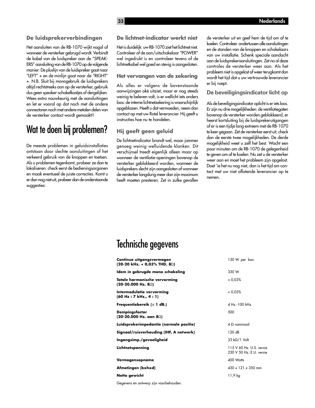#### **De luidsprekerverbindingen**

Het aansluiten van de RB-1070 wijkt nogal af wanneer de versterker gebrugd wordt. Verbindt de kabel van de luidspreker aan de "SPEAK-ERS" aansluiting van de RB-1070 op de volgende manier: De pluslijn van de luidspreker gaat naar "LEFT" + en de minlijn gaat naar de "RIGHT" +. N.B. Sluit bij monogebruik de luidsprekers altijd rechtstreeks aan op de versterker, gebruik dus geen speaker-schakelkastjes of dergelijken. Wees extra nauwkeurig met de aansluitingen en let er vooral op dat noch met de andere connectoren noch met andere metalen delen van de versterker contact wordt gemaakt!!

# Wat te doen bij problemen?

De meeste problemen in geluidsinstallaties ontstaan door slechte aansluitingen of het verkeerd gebruik van de knoppen en toetsen. Als u problemen tegenkomt, probeer ze dan te lokaliseren: check eerst de bedieningsorganen en maak eventueel de juiste correcties. Komt u er dan nog niet uit, probeer dan de onderstaande suggesties:

#### **De lichtnet-indicator werkt niet**

Het is duidelijk: uw RB-1070 ziet het lichtnet niet. Controleer of de aan/uitschakelaar "POWER" wel ingedrukt is en controleer tevens of de lichtnetkabel wel goed en stevig is aangesloten.

#### **Het vervangen van de zekering**

Als alles er volgens de bovenstaande aanwijzingen oké uitziet, maar er nog steeds weinig te beleven valt, is er wellicht iets anders loos: de interne lichtnetzekering is waarschijnlijk opgeblazen. Heeft u dat vermoeden, neem dan contact op met uw Rotel leverancier. Hij geeft u instructies hoe nu te handelen.

#### **Hij geeft geen geluid**

De lichtnetindicator brandt wel, maar jammer genoeg weinig welluidende klanken. Dit verschijnsel treedt eigenlijk alleen maar op wanneer de ventilatie-openingen bovenop de versterker geblokkeerd worden, wanneer de luidsprekers slecht zijn aangesloten of wanneer de versterker langdurig meer dan zijn maximum heeft moeten presteren. Zet in zulke gevallen

de versterker uit en geef hem de tijd om af te koelen. Controleer ondertussen alle aansluitingen en de standen van de knoppen en schakelaars van uw installatie. Schenk speciale aandacht aan de luidsprekeraansluitingen. Zet na al deze controles de versterker weer aan. Als het probleem niet is opgelost of weer terugkomt dan wordt het tijd dat u uw vertrouwde leverancier er bij roept.

#### **De beveiligingsindicator licht op**

Als de beveiligingsindicator oplicht is er iets loos. Er zijn nu drie mogelijkheden: de ventilatiegaten bovenop de versterker worden geblokkeerd, er heerst kortsluiting bij de luidsprekeruitgangen of er is een tijdje lang extreem met de RB-1070 te keer gegaan. Zet de versterker eerst uit, check dan de eerste twee mogelijkheden. De derde mogelijkheid weet u zelf het best. Wacht een paar minuten om de RB-1070 de gelegenheid te geven om af te koelen. Nu zet u de versterker weer aan en moet het probleem zijn opgelost. Doet 'ie het nu nog niet, dan is het tijd om contact met uw niet aflatende leverancier op te nemen.

# Technische gegevens

| Continue uitgangsvermogen<br>(20-20 kHz. < 0,03% THD, 8 $\Omega$ ) | 130 W. per kan.                                      |
|--------------------------------------------------------------------|------------------------------------------------------|
| Idem in gebrugde mono schakeling                                   | 330 W.                                               |
| Totale harmonische vervorming<br>$(20-20.000 \text{ Hz}, 8\Omega)$ | $< 0.03\%$                                           |
| Intermodulatie vervorming<br>(60 Hz: 7 kHz., 4: 1)                 | $< 0.03\%$                                           |
| Frequentiebereik (± 1 dB.)                                         | 4 Hz.-100 kHz.                                       |
| Dempingsfactor<br>$(20-20.000 \text{ Hz.} \text{ aan } 8\Omega)$   | 500                                                  |
| Luidsprekerimpedantie (normale positie)                            | $4 \Omega$ nominaal                                  |
| Signaal/ruisverhouding (IHF, A netwerk)                            | 120 dB                                               |
| Ingangsimp./gevoeligheid                                           | 33 $k\Omega/1$ Volt                                  |
| Lichtnetspanning                                                   | 115 V 60 Hz. U.S. versie<br>230 V 50 Hz. E.U. versie |
| Vermogensopname                                                    | 400 Watts                                            |
| Afmetingen (bxhxd)                                                 | $430 \times 121 \times 350$ mm                       |
| Netto gewicht                                                      | 11,9 kg                                              |
|                                                                    |                                                      |

Gegevens en ontwerp zijn voorbehouden.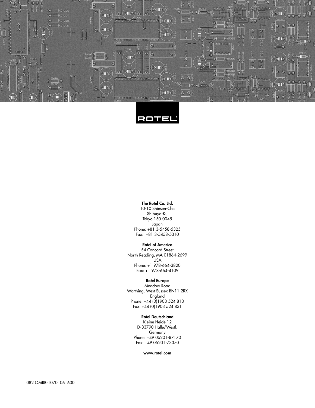

#### The Rotel Co. Ltd.

10-10 Shinsen-Cho Shibuya-Ku Tokyo 150-0045 Japan Phone: +81 3-5458-5325 Fax: +81 3-5458-5310

#### Rotel of America

54 Concord Street North Reading, MA 01864-2699 USA Phone: +1 978-664-3820 Fax: +1 978-664-4109

#### Rotel Europe

Meadow Road Worthing, West Sussex BN11 2RX England Phone: +44 (0)1903 524 813 Fax: +44 (0)1903 524 831

#### Rotel Deutschland

Kleine Heide 12 D-33790 Halle/Westf. Germany Phone: +49 05201-87170 Fax: +49 05201-73370

#### www.rotel.com